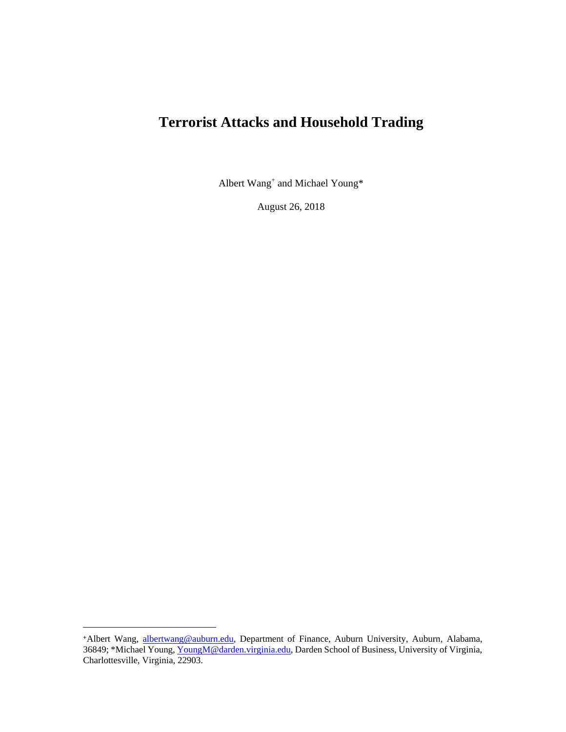# **Terrorist Attacks and Household Trading**

Albert Wang<sup>+</sup> and Michael Young\*

August 26, 2018

<sup>+</sup>Albert Wang, [albertwang@auburn.edu,](mailto:albertwang@auburn.edu) Department of Finance, Auburn University, Auburn, Alabama, 36849; \*Michael Young[, YoungM@darden.virginia.edu,](mailto:YoungM@darden.virginia.edu) Darden School of Business, University of Virginia, Charlottesville, Virginia, 22903.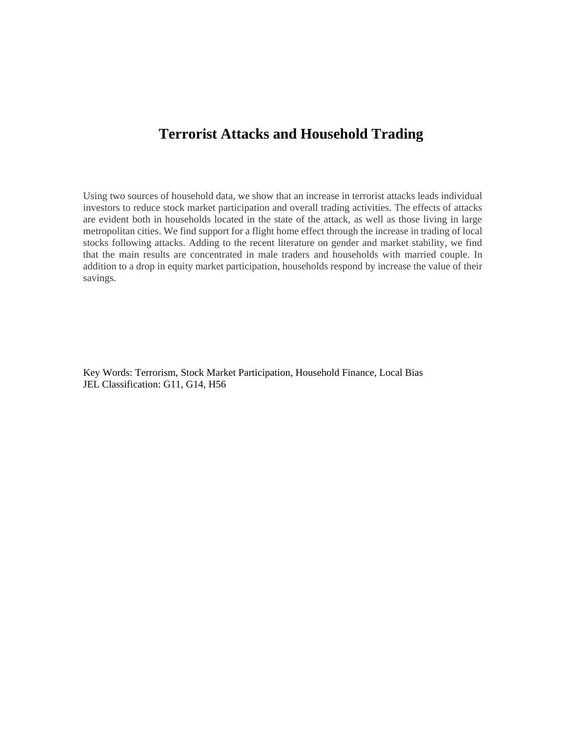## **Terrorist Attacks and Household Trading**

Using two sources of household data, we show that an increase in terrorist attacks leads individual investors to reduce stock market participation and overall trading activities. The effects of attacks are evident both in households located in the state of the attack, as well as those living in large metropolitan cities. We find support for a flight home effect through the increase in trading of local stocks following attacks. Adding to the recent literature on gender and market stability, we find that the main results are concentrated in male traders and households with married couple. In addition to a drop in equity market participation, households respond by increase the value of their savings.

Key Words: Terrorism, Stock Market Participation, Household Finance, Local Bias JEL Classification: G11, G14, H56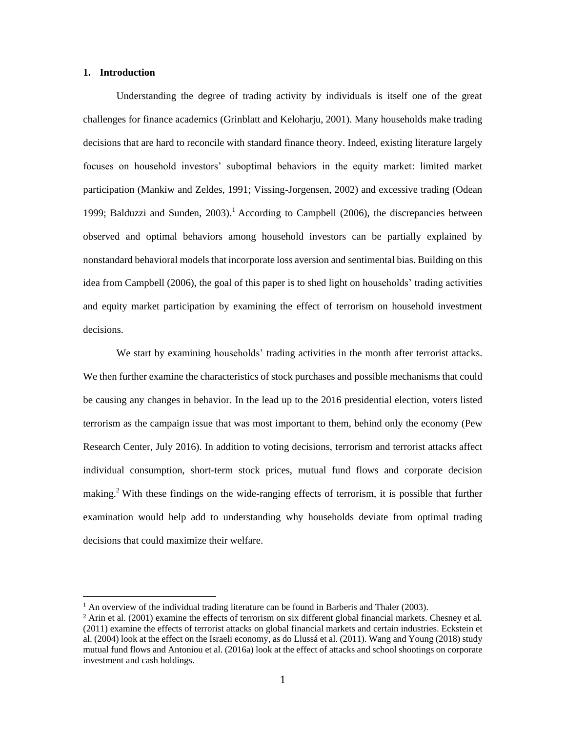#### **1. Introduction**

 $\overline{a}$ 

Understanding the degree of trading activity by individuals is itself one of the great challenges for finance academics (Grinblatt and Keloharju, 2001). Many households make trading decisions that are hard to reconcile with standard finance theory. Indeed, existing literature largely focuses on household investors' suboptimal behaviors in the equity market: limited market participation (Mankiw and Zeldes, 1991; Vissing-Jorgensen, 2002) and excessive trading (Odean 1999; Balduzzi and Sunden, 2003).<sup>1</sup> According to Campbell (2006), the discrepancies between observed and optimal behaviors among household investors can be partially explained by nonstandard behavioral models that incorporate loss aversion and sentimental bias. Building on this idea from Campbell (2006), the goal of this paper is to shed light on households' trading activities and equity market participation by examining the effect of terrorism on household investment decisions.

We start by examining households' trading activities in the month after terrorist attacks. We then further examine the characteristics of stock purchases and possible mechanisms that could be causing any changes in behavior. In the lead up to the 2016 presidential election, voters listed terrorism as the campaign issue that was most important to them, behind only the economy (Pew Research Center, July 2016). In addition to voting decisions, terrorism and terrorist attacks affect individual consumption, short-term stock prices, mutual fund flows and corporate decision making.<sup>2</sup> With these findings on the wide-ranging effects of terrorism, it is possible that further examination would help add to understanding why households deviate from optimal trading decisions that could maximize their welfare.

 $1$  An overview of the individual trading literature can be found in Barberis and Thaler (2003).

<sup>2</sup> Arin et al. (2001) examine the effects of terrorism on six different global financial markets. Chesney et al. (2011) examine the effects of terrorist attacks on global financial markets and certain industries. Eckstein et al. (2004) look at the effect on the Israeli economy, as do Llussá et al. (2011). Wang and Young (2018) study mutual fund flows and Antoniou et al. (2016a) look at the effect of attacks and school shootings on corporate investment and cash holdings.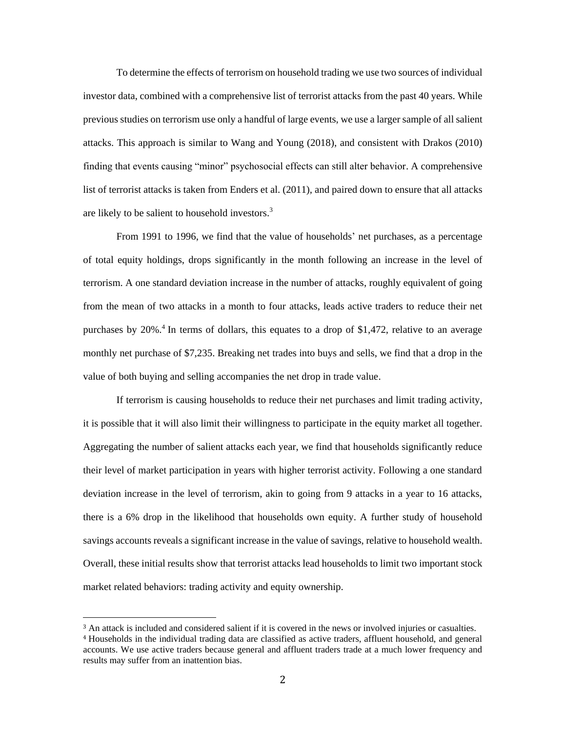To determine the effects of terrorism on household trading we use two sources of individual investor data, combined with a comprehensive list of terrorist attacks from the past 40 years. While previous studies on terrorism use only a handful of large events, we use a larger sample of all salient attacks. This approach is similar to Wang and Young (2018), and consistent with Drakos (2010) finding that events causing "minor" psychosocial effects can still alter behavior. A comprehensive list of terrorist attacks is taken from Enders et al. (2011), and paired down to ensure that all attacks are likely to be salient to household investors.<sup>3</sup>

From 1991 to 1996, we find that the value of households' net purchases, as a percentage of total equity holdings, drops significantly in the month following an increase in the level of terrorism. A one standard deviation increase in the number of attacks, roughly equivalent of going from the mean of two attacks in a month to four attacks, leads active traders to reduce their net purchases by 20%.<sup>4</sup> In terms of dollars, this equates to a drop of \$1,472, relative to an average monthly net purchase of \$7,235. Breaking net trades into buys and sells, we find that a drop in the value of both buying and selling accompanies the net drop in trade value.

If terrorism is causing households to reduce their net purchases and limit trading activity, it is possible that it will also limit their willingness to participate in the equity market all together. Aggregating the number of salient attacks each year, we find that households significantly reduce their level of market participation in years with higher terrorist activity. Following a one standard deviation increase in the level of terrorism, akin to going from 9 attacks in a year to 16 attacks, there is a 6% drop in the likelihood that households own equity. A further study of household savings accounts reveals a significant increase in the value of savings, relative to household wealth. Overall, these initial results show that terrorist attacks lead households to limit two important stock market related behaviors: trading activity and equity ownership.

<sup>3</sup> An attack is included and considered salient if it is covered in the news or involved injuries or casualties. <sup>4</sup> Households in the individual trading data are classified as active traders, affluent household, and general accounts. We use active traders because general and affluent traders trade at a much lower frequency and results may suffer from an inattention bias.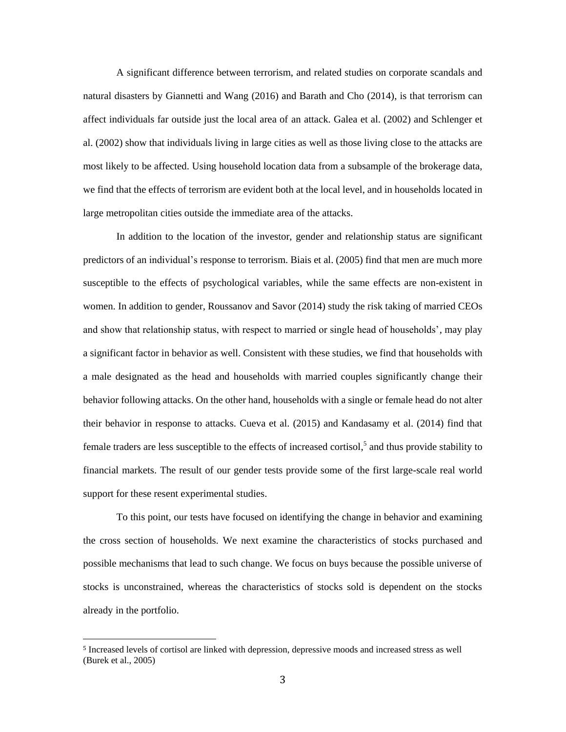A significant difference between terrorism, and related studies on corporate scandals and natural disasters by Giannetti and Wang (2016) and Barath and Cho (2014), is that terrorism can affect individuals far outside just the local area of an attack. Galea et al. (2002) and Schlenger et al. (2002) show that individuals living in large cities as well as those living close to the attacks are most likely to be affected. Using household location data from a subsample of the brokerage data, we find that the effects of terrorism are evident both at the local level, and in households located in large metropolitan cities outside the immediate area of the attacks.

In addition to the location of the investor, gender and relationship status are significant predictors of an individual's response to terrorism. Biais et al. (2005) find that men are much more susceptible to the effects of psychological variables, while the same effects are non-existent in women. In addition to gender, Roussanov and Savor (2014) study the risk taking of married CEOs and show that relationship status, with respect to married or single head of households', may play a significant factor in behavior as well. Consistent with these studies, we find that households with a male designated as the head and households with married couples significantly change their behavior following attacks. On the other hand, households with a single or female head do not alter their behavior in response to attacks. Cueva et al. (2015) and Kandasamy et al. (2014) find that female traders are less susceptible to the effects of increased cortisol,<sup>5</sup> and thus provide stability to financial markets. The result of our gender tests provide some of the first large-scale real world support for these resent experimental studies.

To this point, our tests have focused on identifying the change in behavior and examining the cross section of households. We next examine the characteristics of stocks purchased and possible mechanisms that lead to such change. We focus on buys because the possible universe of stocks is unconstrained, whereas the characteristics of stocks sold is dependent on the stocks already in the portfolio.

<sup>5</sup> Increased levels of cortisol are linked with depression, depressive moods and increased stress as well (Burek et al., 2005)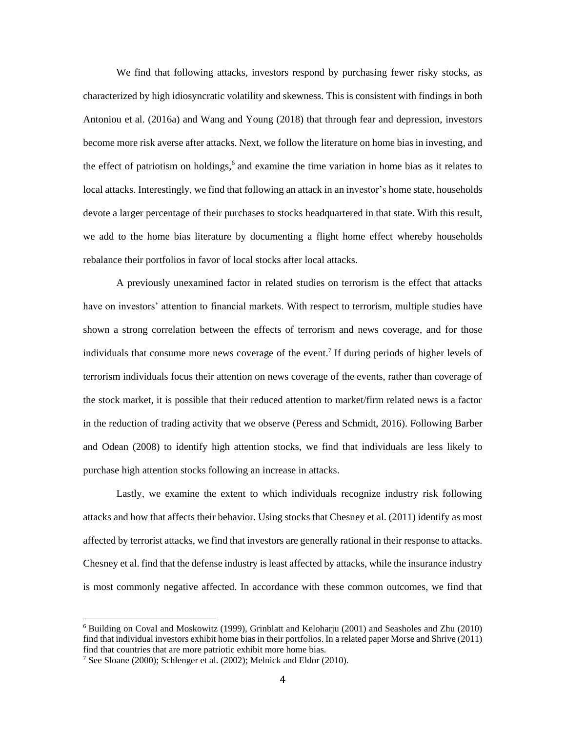We find that following attacks, investors respond by purchasing fewer risky stocks, as characterized by high idiosyncratic volatility and skewness. This is consistent with findings in both Antoniou et al. (2016a) and Wang and Young (2018) that through fear and depression, investors become more risk averse after attacks. Next, we follow the literature on home bias in investing, and the effect of patriotism on holdings, 6 and examine the time variation in home bias as it relates to local attacks. Interestingly, we find that following an attack in an investor's home state, households devote a larger percentage of their purchases to stocks headquartered in that state. With this result, we add to the home bias literature by documenting a flight home effect whereby households rebalance their portfolios in favor of local stocks after local attacks.

A previously unexamined factor in related studies on terrorism is the effect that attacks have on investors' attention to financial markets. With respect to terrorism, multiple studies have shown a strong correlation between the effects of terrorism and news coverage, and for those individuals that consume more news coverage of the event. 7 If during periods of higher levels of terrorism individuals focus their attention on news coverage of the events, rather than coverage of the stock market, it is possible that their reduced attention to market/firm related news is a factor in the reduction of trading activity that we observe (Peress and Schmidt, 2016). Following Barber and Odean (2008) to identify high attention stocks, we find that individuals are less likely to purchase high attention stocks following an increase in attacks.

Lastly, we examine the extent to which individuals recognize industry risk following attacks and how that affects their behavior. Using stocks that Chesney et al. (2011) identify as most affected by terrorist attacks, we find that investors are generally rational in their response to attacks. Chesney et al. find that the defense industry is least affected by attacks, while the insurance industry is most commonly negative affected. In accordance with these common outcomes, we find that

<sup>6</sup> Building on Coval and Moskowitz (1999), Grinblatt and Keloharju (2001) and Seasholes and Zhu (2010) find that individual investors exhibit home bias in their portfolios. In a related paper Morse and Shrive (2011) find that countries that are more patriotic exhibit more home bias.

<sup>7</sup> See Sloane (2000); Schlenger et al. (2002); Melnick and Eldor (2010).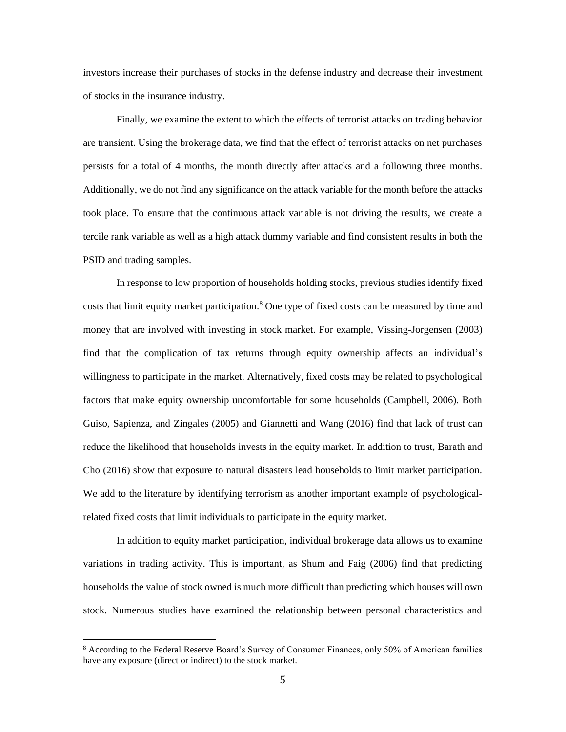investors increase their purchases of stocks in the defense industry and decrease their investment of stocks in the insurance industry.

Finally, we examine the extent to which the effects of terrorist attacks on trading behavior are transient. Using the brokerage data, we find that the effect of terrorist attacks on net purchases persists for a total of 4 months, the month directly after attacks and a following three months. Additionally, we do not find any significance on the attack variable for the month before the attacks took place. To ensure that the continuous attack variable is not driving the results, we create a tercile rank variable as well as a high attack dummy variable and find consistent results in both the PSID and trading samples.

In response to low proportion of households holding stocks, previous studies identify fixed costs that limit equity market participation.<sup>8</sup> One type of fixed costs can be measured by time and money that are involved with investing in stock market. For example, Vissing-Jorgensen (2003) find that the complication of tax returns through equity ownership affects an individual's willingness to participate in the market. Alternatively, fixed costs may be related to psychological factors that make equity ownership uncomfortable for some households (Campbell, 2006). Both Guiso, Sapienza, and Zingales (2005) and Giannetti and Wang (2016) find that lack of trust can reduce the likelihood that households invests in the equity market. In addition to trust, Barath and Cho (2016) show that exposure to natural disasters lead households to limit market participation. We add to the literature by identifying terrorism as another important example of psychologicalrelated fixed costs that limit individuals to participate in the equity market.

In addition to equity market participation, individual brokerage data allows us to examine variations in trading activity. This is important, as Shum and Faig (2006) find that predicting households the value of stock owned is much more difficult than predicting which houses will own stock. Numerous studies have examined the relationship between personal characteristics and

<sup>8</sup> According to the Federal Reserve Board's Survey of Consumer Finances, only 50% of American families have any exposure (direct or indirect) to the stock market.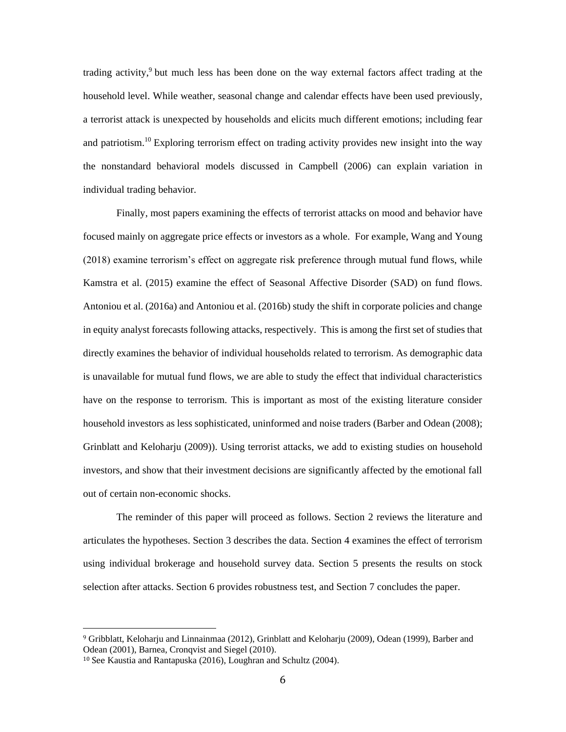trading activity,<sup>9</sup> but much less has been done on the way external factors affect trading at the household level. While weather, seasonal change and calendar effects have been used previously, a terrorist attack is unexpected by households and elicits much different emotions; including fear and patriotism.<sup>10</sup> Exploring terrorism effect on trading activity provides new insight into the way the nonstandard behavioral models discussed in Campbell (2006) can explain variation in individual trading behavior.

Finally, most papers examining the effects of terrorist attacks on mood and behavior have focused mainly on aggregate price effects or investors as a whole. For example, Wang and Young (2018) examine terrorism's effect on aggregate risk preference through mutual fund flows, while Kamstra et al. (2015) examine the effect of Seasonal Affective Disorder (SAD) on fund flows. Antoniou et al. (2016a) and Antoniou et al. (2016b) study the shift in corporate policies and change in equity analyst forecasts following attacks, respectively. This is among the first set of studies that directly examines the behavior of individual households related to terrorism. As demographic data is unavailable for mutual fund flows, we are able to study the effect that individual characteristics have on the response to terrorism. This is important as most of the existing literature consider household investors as less sophisticated, uninformed and noise traders (Barber and Odean (2008); Grinblatt and Keloharju (2009)). Using terrorist attacks, we add to existing studies on household investors, and show that their investment decisions are significantly affected by the emotional fall out of certain non-economic shocks.

The reminder of this paper will proceed as follows. Section 2 reviews the literature and articulates the hypotheses. Section 3 describes the data. Section 4 examines the effect of terrorism using individual brokerage and household survey data. Section 5 presents the results on stock selection after attacks. Section 6 provides robustness test, and Section 7 concludes the paper.

l

<sup>9</sup> Gribblatt, Keloharju and Linnainmaa (2012), Grinblatt and Keloharju (2009), Odean (1999), Barber and Odean (2001), Barnea, Cronqvist and Siegel (2010).

<sup>10</sup> See Kaustia and Rantapuska (2016), Loughran and Schultz (2004).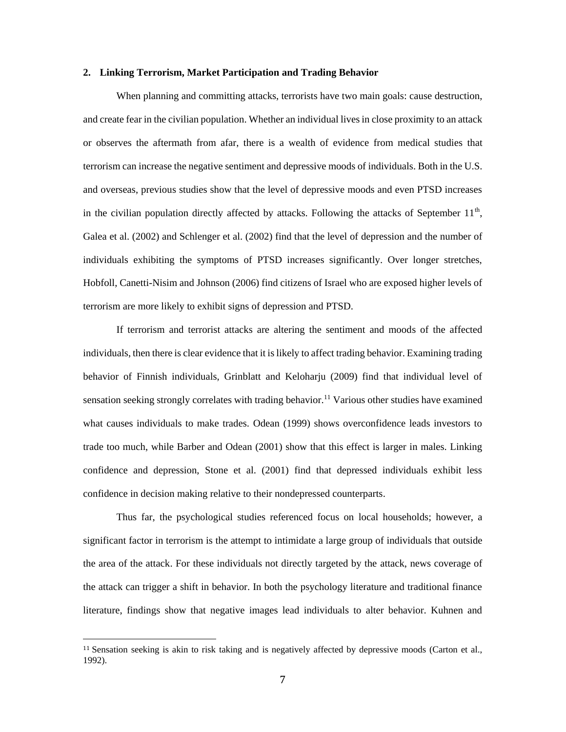#### **2. Linking Terrorism, Market Participation and Trading Behavior**

When planning and committing attacks, terrorists have two main goals: cause destruction, and create fear in the civilian population. Whether an individual lives in close proximity to an attack or observes the aftermath from afar, there is a wealth of evidence from medical studies that terrorism can increase the negative sentiment and depressive moods of individuals. Both in the U.S. and overseas, previous studies show that the level of depressive moods and even PTSD increases in the civilian population directly affected by attacks. Following the attacks of September  $11<sup>th</sup>$ , Galea et al. (2002) and Schlenger et al. (2002) find that the level of depression and the number of individuals exhibiting the symptoms of PTSD increases significantly. Over longer stretches, Hobfoll, Canetti-Nisim and Johnson (2006) find citizens of Israel who are exposed higher levels of terrorism are more likely to exhibit signs of depression and PTSD.

If terrorism and terrorist attacks are altering the sentiment and moods of the affected individuals, then there is clear evidence that it is likely to affect trading behavior. Examining trading behavior of Finnish individuals, Grinblatt and Keloharju (2009) find that individual level of sensation seeking strongly correlates with trading behavior.<sup>11</sup> Various other studies have examined what causes individuals to make trades. Odean (1999) shows overconfidence leads investors to trade too much, while Barber and Odean (2001) show that this effect is larger in males. Linking confidence and depression, Stone et al. (2001) find that depressed individuals exhibit less confidence in decision making relative to their nondepressed counterparts.

Thus far, the psychological studies referenced focus on local households; however, a significant factor in terrorism is the attempt to intimidate a large group of individuals that outside the area of the attack. For these individuals not directly targeted by the attack, news coverage of the attack can trigger a shift in behavior. In both the psychology literature and traditional finance literature, findings show that negative images lead individuals to alter behavior. Kuhnen and

<sup>11</sup> Sensation seeking is akin to risk taking and is negatively affected by depressive moods (Carton et al., 1992).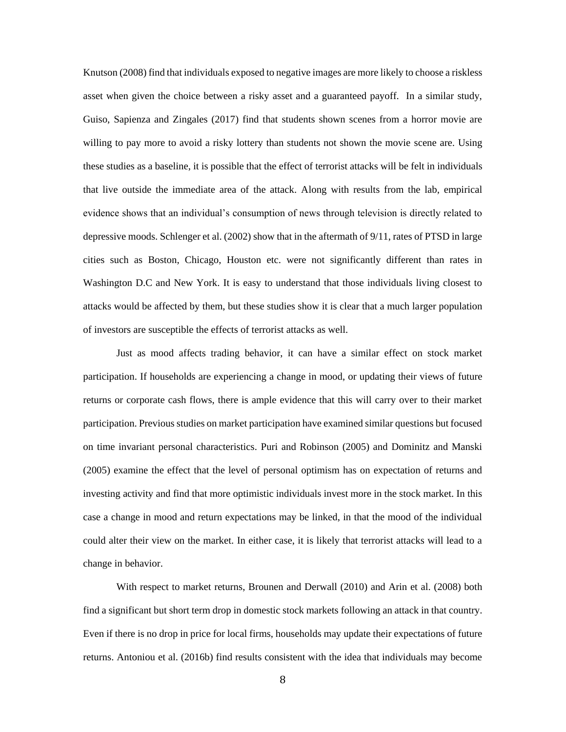Knutson (2008) find that individuals exposed to negative images are more likely to choose a riskless asset when given the choice between a risky asset and a guaranteed payoff. In a similar study, Guiso, Sapienza and Zingales (2017) find that students shown scenes from a horror movie are willing to pay more to avoid a risky lottery than students not shown the movie scene are. Using these studies as a baseline, it is possible that the effect of terrorist attacks will be felt in individuals that live outside the immediate area of the attack. Along with results from the lab, empirical evidence shows that an individual's consumption of news through television is directly related to depressive moods. Schlenger et al. (2002) show that in the aftermath of 9/11, rates of PTSD in large cities such as Boston, Chicago, Houston etc. were not significantly different than rates in Washington D.C and New York. It is easy to understand that those individuals living closest to attacks would be affected by them, but these studies show it is clear that a much larger population of investors are susceptible the effects of terrorist attacks as well.

Just as mood affects trading behavior, it can have a similar effect on stock market participation. If households are experiencing a change in mood, or updating their views of future returns or corporate cash flows, there is ample evidence that this will carry over to their market participation. Previous studies on market participation have examined similar questions but focused on time invariant personal characteristics. Puri and Robinson (2005) and Dominitz and Manski (2005) examine the effect that the level of personal optimism has on expectation of returns and investing activity and find that more optimistic individuals invest more in the stock market. In this case a change in mood and return expectations may be linked, in that the mood of the individual could alter their view on the market. In either case, it is likely that terrorist attacks will lead to a change in behavior.

With respect to market returns, Brounen and Derwall (2010) and Arin et al. (2008) both find a significant but short term drop in domestic stock markets following an attack in that country. Even if there is no drop in price for local firms, households may update their expectations of future returns. Antoniou et al. (2016b) find results consistent with the idea that individuals may become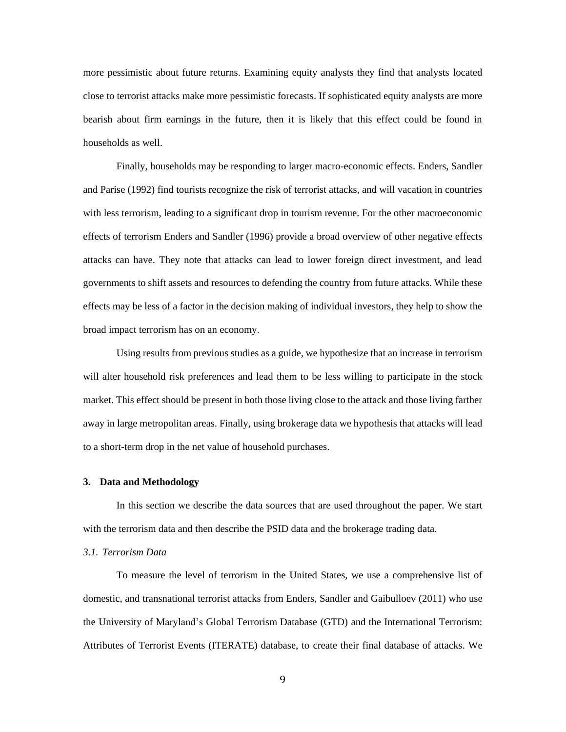more pessimistic about future returns. Examining equity analysts they find that analysts located close to terrorist attacks make more pessimistic forecasts. If sophisticated equity analysts are more bearish about firm earnings in the future, then it is likely that this effect could be found in households as well.

Finally, households may be responding to larger macro-economic effects. Enders, Sandler and Parise (1992) find tourists recognize the risk of terrorist attacks, and will vacation in countries with less terrorism, leading to a significant drop in tourism revenue. For the other macroeconomic effects of terrorism Enders and Sandler (1996) provide a broad overview of other negative effects attacks can have. They note that attacks can lead to lower foreign direct investment, and lead governments to shift assets and resources to defending the country from future attacks. While these effects may be less of a factor in the decision making of individual investors, they help to show the broad impact terrorism has on an economy.

Using results from previous studies as a guide, we hypothesize that an increase in terrorism will alter household risk preferences and lead them to be less willing to participate in the stock market. This effect should be present in both those living close to the attack and those living farther away in large metropolitan areas. Finally, using brokerage data we hypothesis that attacks will lead to a short-term drop in the net value of household purchases.

#### **3. Data and Methodology**

In this section we describe the data sources that are used throughout the paper. We start with the terrorism data and then describe the PSID data and the brokerage trading data.

## *3.1. Terrorism Data*

To measure the level of terrorism in the United States, we use a comprehensive list of domestic, and transnational terrorist attacks from Enders, Sandler and Gaibulloev (2011) who use the University of Maryland's Global Terrorism Database (GTD) and the International Terrorism: Attributes of Terrorist Events (ITERATE) database, to create their final database of attacks. We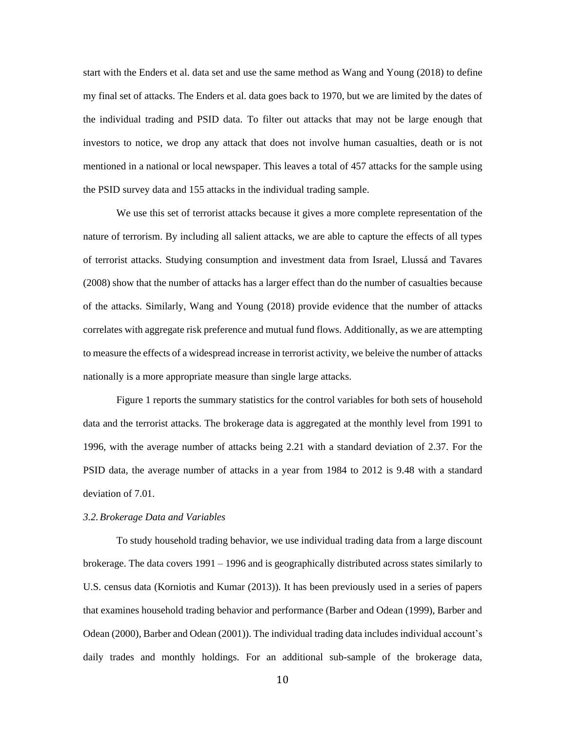start with the Enders et al. data set and use the same method as Wang and Young (2018) to define my final set of attacks. The Enders et al. data goes back to 1970, but we are limited by the dates of the individual trading and PSID data. To filter out attacks that may not be large enough that investors to notice, we drop any attack that does not involve human casualties, death or is not mentioned in a national or local newspaper. This leaves a total of 457 attacks for the sample using the PSID survey data and 155 attacks in the individual trading sample.

We use this set of terrorist attacks because it gives a more complete representation of the nature of terrorism. By including all salient attacks, we are able to capture the effects of all types of terrorist attacks. Studying consumption and investment data from Israel, Llussá and Tavares (2008) show that the number of attacks has a larger effect than do the number of casualties because of the attacks. Similarly, Wang and Young (2018) provide evidence that the number of attacks correlates with aggregate risk preference and mutual fund flows. Additionally, as we are attempting to measure the effects of a widespread increase in terrorist activity, we beleive the number of attacks nationally is a more appropriate measure than single large attacks.

Figure 1 reports the summary statistics for the control variables for both sets of household data and the terrorist attacks. The brokerage data is aggregated at the monthly level from 1991 to 1996, with the average number of attacks being 2.21 with a standard deviation of 2.37. For the PSID data, the average number of attacks in a year from 1984 to 2012 is 9.48 with a standard deviation of 7.01.

#### *3.2.Brokerage Data and Variables*

To study household trading behavior, we use individual trading data from a large discount brokerage. The data covers 1991 – 1996 and is geographically distributed across states similarly to U.S. census data (Korniotis and Kumar (2013)). It has been previously used in a series of papers that examines household trading behavior and performance (Barber and Odean (1999), Barber and Odean (2000), Barber and Odean (2001)). The individual trading data includes individual account's daily trades and monthly holdings. For an additional sub-sample of the brokerage data,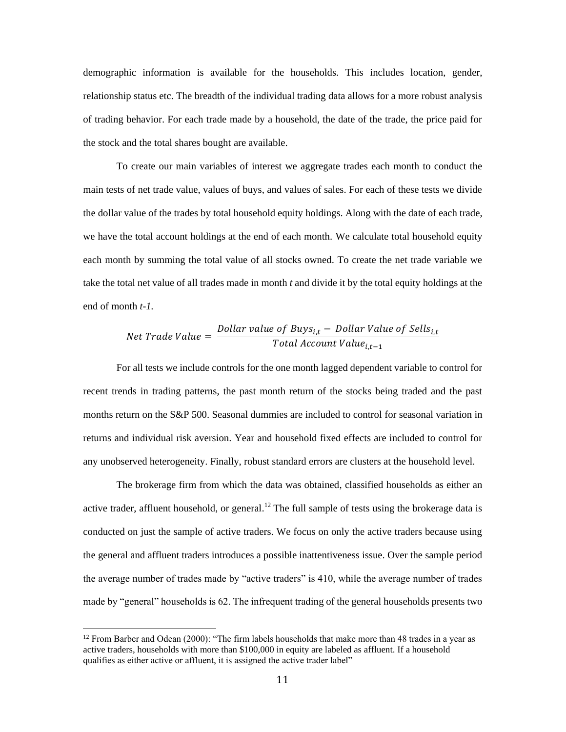demographic information is available for the households. This includes location, gender, relationship status etc. The breadth of the individual trading data allows for a more robust analysis of trading behavior. For each trade made by a household, the date of the trade, the price paid for the stock and the total shares bought are available.

To create our main variables of interest we aggregate trades each month to conduct the main tests of net trade value, values of buys, and values of sales. For each of these tests we divide the dollar value of the trades by total household equity holdings. Along with the date of each trade, we have the total account holdings at the end of each month. We calculate total household equity each month by summing the total value of all stocks owned. To create the net trade variable we take the total net value of all trades made in month *t* and divide it by the total equity holdings at the end of month *t-1.* 

Net Trade Value = 
$$
\frac{Dollar value of Buys_{i,t} - Dollar Value of Sells_{i,t}}{Total Account Value_{i,t-1}}
$$

For all tests we include controls for the one month lagged dependent variable to control for recent trends in trading patterns, the past month return of the stocks being traded and the past months return on the S&P 500. Seasonal dummies are included to control for seasonal variation in returns and individual risk aversion. Year and household fixed effects are included to control for any unobserved heterogeneity. Finally, robust standard errors are clusters at the household level.

The brokerage firm from which the data was obtained, classified households as either an active trader, affluent household, or general.<sup>12</sup> The full sample of tests using the brokerage data is conducted on just the sample of active traders. We focus on only the active traders because using the general and affluent traders introduces a possible inattentiveness issue. Over the sample period the average number of trades made by "active traders" is 410, while the average number of trades made by "general" households is 62. The infrequent trading of the general households presents two

 $12$  From Barber and Odean (2000): "The firm labels households that make more than 48 trades in a year as active traders, households with more than \$100,000 in equity are labeled as affluent. If a household qualifies as either active or affluent, it is assigned the active trader label"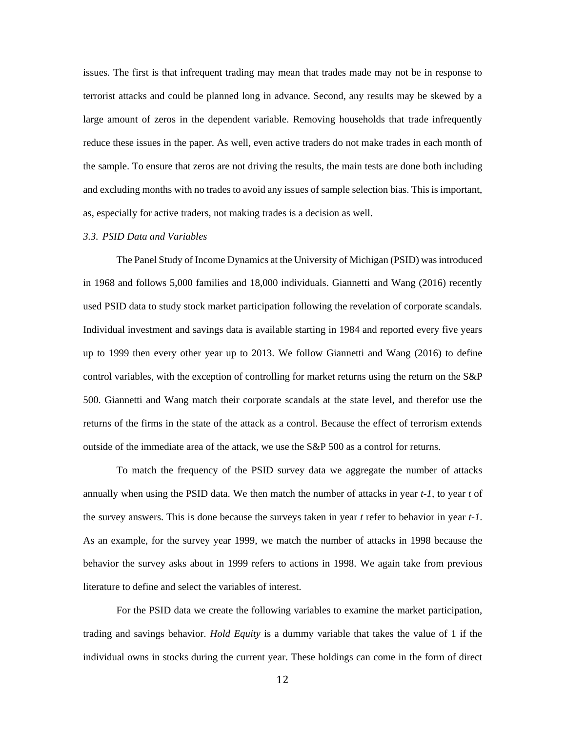issues. The first is that infrequent trading may mean that trades made may not be in response to terrorist attacks and could be planned long in advance. Second, any results may be skewed by a large amount of zeros in the dependent variable. Removing households that trade infrequently reduce these issues in the paper. As well, even active traders do not make trades in each month of the sample. To ensure that zeros are not driving the results, the main tests are done both including and excluding months with no trades to avoid any issues of sample selection bias. This is important, as, especially for active traders, not making trades is a decision as well.

#### *3.3. PSID Data and Variables*

The Panel Study of Income Dynamics at the University of Michigan (PSID) was introduced in 1968 and follows 5,000 families and 18,000 individuals. Giannetti and Wang (2016) recently used PSID data to study stock market participation following the revelation of corporate scandals. Individual investment and savings data is available starting in 1984 and reported every five years up to 1999 then every other year up to 2013. We follow Giannetti and Wang (2016) to define control variables, with the exception of controlling for market returns using the return on the S&P 500. Giannetti and Wang match their corporate scandals at the state level, and therefor use the returns of the firms in the state of the attack as a control. Because the effect of terrorism extends outside of the immediate area of the attack, we use the S&P 500 as a control for returns.

To match the frequency of the PSID survey data we aggregate the number of attacks annually when using the PSID data. We then match the number of attacks in year *t-1,* to year *t* of the survey answers. This is done because the surveys taken in year *t* refer to behavior in year *t-1*. As an example, for the survey year 1999, we match the number of attacks in 1998 because the behavior the survey asks about in 1999 refers to actions in 1998. We again take from previous literature to define and select the variables of interest.

For the PSID data we create the following variables to examine the market participation, trading and savings behavior. *Hold Equity* is a dummy variable that takes the value of 1 if the individual owns in stocks during the current year. These holdings can come in the form of direct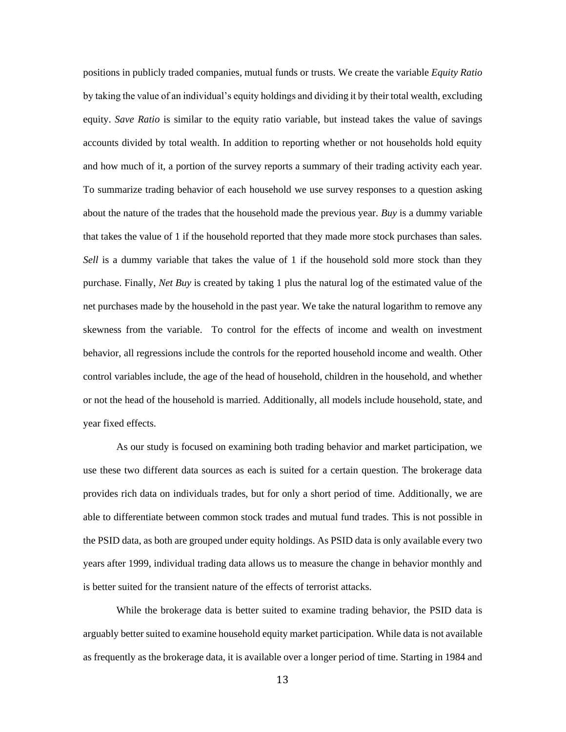positions in publicly traded companies, mutual funds or trusts. We create the variable *Equity Ratio*  by taking the value of an individual's equity holdings and dividing it by their total wealth, excluding equity. *Save Ratio* is similar to the equity ratio variable, but instead takes the value of savings accounts divided by total wealth. In addition to reporting whether or not households hold equity and how much of it, a portion of the survey reports a summary of their trading activity each year. To summarize trading behavior of each household we use survey responses to a question asking about the nature of the trades that the household made the previous year. *Buy* is a dummy variable that takes the value of 1 if the household reported that they made more stock purchases than sales. *Sell* is a dummy variable that takes the value of 1 if the household sold more stock than they purchase. Finally, *Net Buy* is created by taking 1 plus the natural log of the estimated value of the net purchases made by the household in the past year. We take the natural logarithm to remove any skewness from the variable. To control for the effects of income and wealth on investment behavior, all regressions include the controls for the reported household income and wealth. Other control variables include, the age of the head of household, children in the household, and whether or not the head of the household is married. Additionally, all models include household, state, and year fixed effects.

As our study is focused on examining both trading behavior and market participation, we use these two different data sources as each is suited for a certain question. The brokerage data provides rich data on individuals trades, but for only a short period of time. Additionally, we are able to differentiate between common stock trades and mutual fund trades. This is not possible in the PSID data, as both are grouped under equity holdings. As PSID data is only available every two years after 1999, individual trading data allows us to measure the change in behavior monthly and is better suited for the transient nature of the effects of terrorist attacks.

While the brokerage data is better suited to examine trading behavior, the PSID data is arguably better suited to examine household equity market participation. While data is not available as frequently as the brokerage data, it is available over a longer period of time. Starting in 1984 and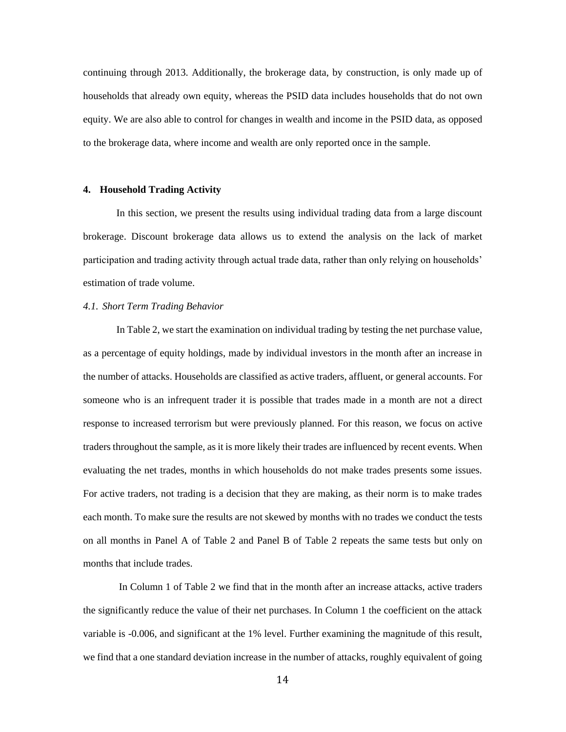continuing through 2013. Additionally, the brokerage data, by construction, is only made up of households that already own equity, whereas the PSID data includes households that do not own equity. We are also able to control for changes in wealth and income in the PSID data, as opposed to the brokerage data, where income and wealth are only reported once in the sample.

#### **4. Household Trading Activity**

In this section, we present the results using individual trading data from a large discount brokerage. Discount brokerage data allows us to extend the analysis on the lack of market participation and trading activity through actual trade data, rather than only relying on households' estimation of trade volume.

#### *4.1. Short Term Trading Behavior*

In Table 2, we start the examination on individual trading by testing the net purchase value, as a percentage of equity holdings, made by individual investors in the month after an increase in the number of attacks. Households are classified as active traders, affluent, or general accounts. For someone who is an infrequent trader it is possible that trades made in a month are not a direct response to increased terrorism but were previously planned. For this reason, we focus on active traders throughout the sample, as it is more likely their trades are influenced by recent events. When evaluating the net trades, months in which households do not make trades presents some issues. For active traders, not trading is a decision that they are making, as their norm is to make trades each month. To make sure the results are not skewed by months with no trades we conduct the tests on all months in Panel A of Table 2 and Panel B of Table 2 repeats the same tests but only on months that include trades.

In Column 1 of Table 2 we find that in the month after an increase attacks, active traders the significantly reduce the value of their net purchases. In Column 1 the coefficient on the attack variable is -0.006, and significant at the 1% level. Further examining the magnitude of this result, we find that a one standard deviation increase in the number of attacks, roughly equivalent of going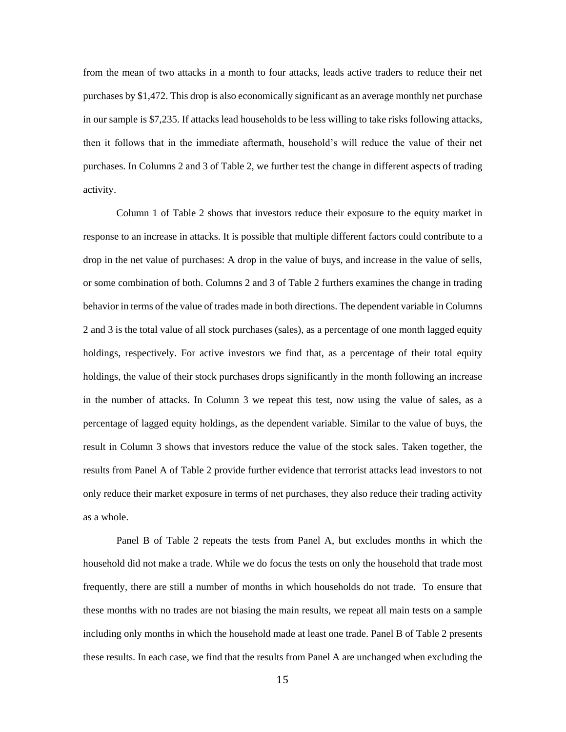from the mean of two attacks in a month to four attacks, leads active traders to reduce their net purchases by \$1,472. This drop is also economically significant as an average monthly net purchase in our sample is \$7,235. If attacks lead households to be less willing to take risks following attacks, then it follows that in the immediate aftermath, household's will reduce the value of their net purchases. In Columns 2 and 3 of Table 2, we further test the change in different aspects of trading activity.

Column 1 of Table 2 shows that investors reduce their exposure to the equity market in response to an increase in attacks. It is possible that multiple different factors could contribute to a drop in the net value of purchases: A drop in the value of buys, and increase in the value of sells, or some combination of both. Columns 2 and 3 of Table 2 furthers examines the change in trading behavior in terms of the value of trades made in both directions. The dependent variable in Columns 2 and 3 is the total value of all stock purchases (sales), as a percentage of one month lagged equity holdings, respectively. For active investors we find that, as a percentage of their total equity holdings, the value of their stock purchases drops significantly in the month following an increase in the number of attacks. In Column 3 we repeat this test, now using the value of sales, as a percentage of lagged equity holdings, as the dependent variable. Similar to the value of buys, the result in Column 3 shows that investors reduce the value of the stock sales. Taken together, the results from Panel A of Table 2 provide further evidence that terrorist attacks lead investors to not only reduce their market exposure in terms of net purchases, they also reduce their trading activity as a whole.

Panel B of Table 2 repeats the tests from Panel A, but excludes months in which the household did not make a trade. While we do focus the tests on only the household that trade most frequently, there are still a number of months in which households do not trade. To ensure that these months with no trades are not biasing the main results, we repeat all main tests on a sample including only months in which the household made at least one trade. Panel B of Table 2 presents these results. In each case, we find that the results from Panel A are unchanged when excluding the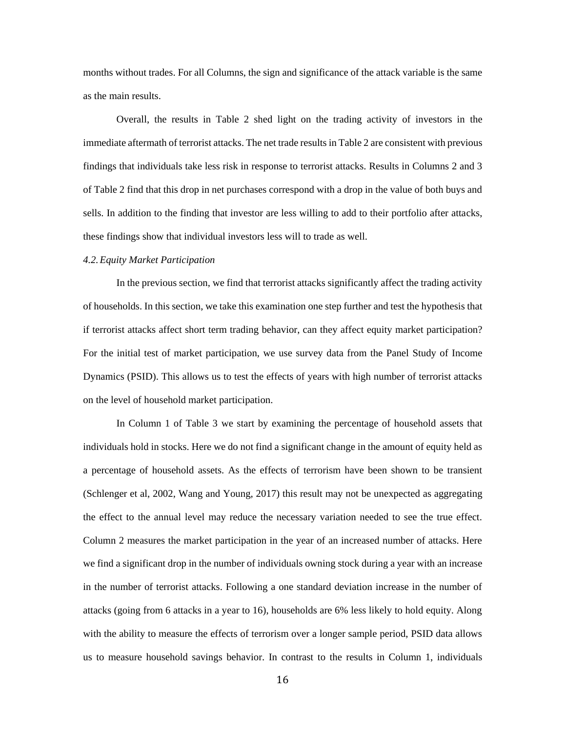months without trades. For all Columns, the sign and significance of the attack variable is the same as the main results.

Overall, the results in Table 2 shed light on the trading activity of investors in the immediate aftermath of terrorist attacks. The net trade results in Table 2 are consistent with previous findings that individuals take less risk in response to terrorist attacks. Results in Columns 2 and 3 of Table 2 find that this drop in net purchases correspond with a drop in the value of both buys and sells. In addition to the finding that investor are less willing to add to their portfolio after attacks, these findings show that individual investors less will to trade as well.

## *4.2.Equity Market Participation*

In the previous section, we find that terrorist attacks significantly affect the trading activity of households. In this section, we take this examination one step further and test the hypothesis that if terrorist attacks affect short term trading behavior, can they affect equity market participation? For the initial test of market participation, we use survey data from the Panel Study of Income Dynamics (PSID). This allows us to test the effects of years with high number of terrorist attacks on the level of household market participation.

In Column 1 of Table 3 we start by examining the percentage of household assets that individuals hold in stocks. Here we do not find a significant change in the amount of equity held as a percentage of household assets. As the effects of terrorism have been shown to be transient (Schlenger et al, 2002, Wang and Young, 2017) this result may not be unexpected as aggregating the effect to the annual level may reduce the necessary variation needed to see the true effect. Column 2 measures the market participation in the year of an increased number of attacks. Here we find a significant drop in the number of individuals owning stock during a year with an increase in the number of terrorist attacks. Following a one standard deviation increase in the number of attacks (going from 6 attacks in a year to 16), households are 6% less likely to hold equity. Along with the ability to measure the effects of terrorism over a longer sample period, PSID data allows us to measure household savings behavior. In contrast to the results in Column 1, individuals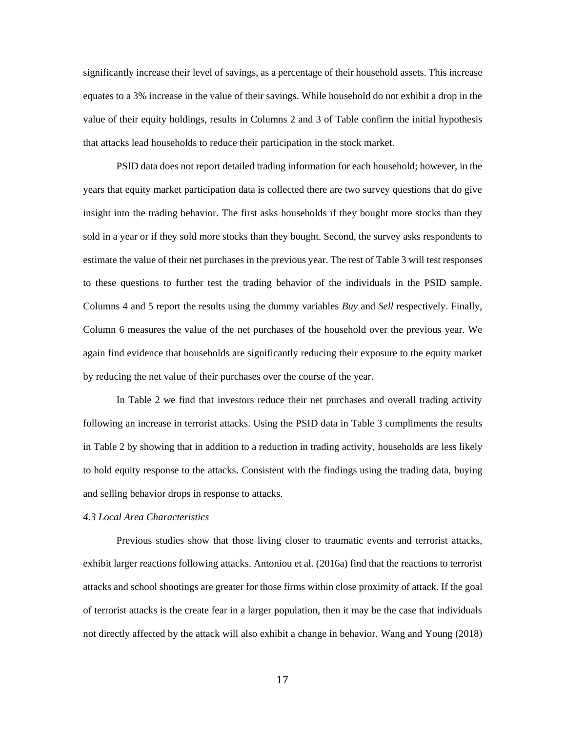significantly increase their level of savings, as a percentage of their household assets. This increase equates to a 3% increase in the value of their savings. While household do not exhibit a drop in the value of their equity holdings, results in Columns 2 and 3 of Table confirm the initial hypothesis that attacks lead households to reduce their participation in the stock market.

PSID data does not report detailed trading information for each household; however, in the years that equity market participation data is collected there are two survey questions that do give insight into the trading behavior. The first asks households if they bought more stocks than they sold in a year or if they sold more stocks than they bought. Second, the survey asks respondents to estimate the value of their net purchases in the previous year. The rest of Table 3 will test responses to these questions to further test the trading behavior of the individuals in the PSID sample. Columns 4 and 5 report the results using the dummy variables *Buy* and *Sell* respectively. Finally, Column 6 measures the value of the net purchases of the household over the previous year. We again find evidence that households are significantly reducing their exposure to the equity market by reducing the net value of their purchases over the course of the year.

In Table 2 we find that investors reduce their net purchases and overall trading activity following an increase in terrorist attacks. Using the PSID data in Table 3 compliments the results in Table 2 by showing that in addition to a reduction in trading activity, households are less likely to hold equity response to the attacks. Consistent with the findings using the trading data, buying and selling behavior drops in response to attacks.

## *4.3 Local Area Characteristics*

Previous studies show that those living closer to traumatic events and terrorist attacks, exhibit larger reactions following attacks. Antoniou et al. (2016a) find that the reactions to terrorist attacks and school shootings are greater for those firms within close proximity of attack. If the goal of terrorist attacks is the create fear in a larger population, then it may be the case that individuals not directly affected by the attack will also exhibit a change in behavior. Wang and Young (2018)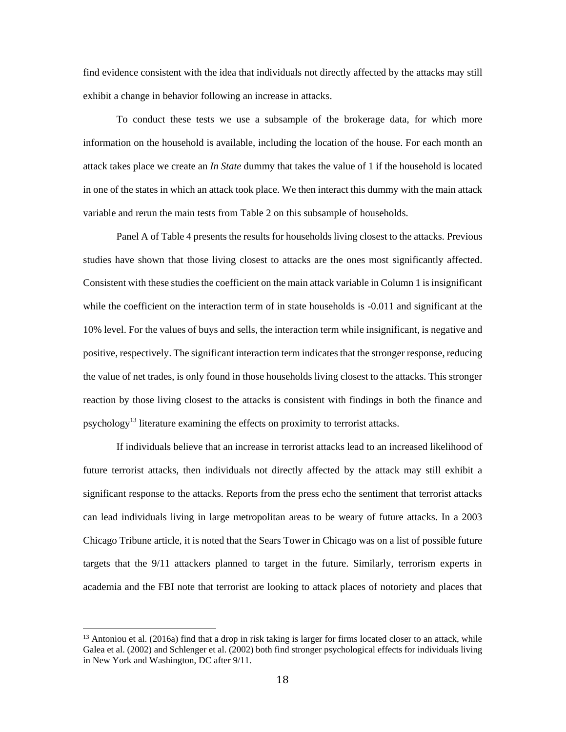find evidence consistent with the idea that individuals not directly affected by the attacks may still exhibit a change in behavior following an increase in attacks.

To conduct these tests we use a subsample of the brokerage data, for which more information on the household is available, including the location of the house. For each month an attack takes place we create an *In State* dummy that takes the value of 1 if the household is located in one of the states in which an attack took place. We then interact this dummy with the main attack variable and rerun the main tests from Table 2 on this subsample of households.

Panel A of Table 4 presents the results for households living closest to the attacks. Previous studies have shown that those living closest to attacks are the ones most significantly affected. Consistent with these studies the coefficient on the main attack variable in Column 1 is insignificant while the coefficient on the interaction term of in state households is -0.011 and significant at the 10% level. For the values of buys and sells, the interaction term while insignificant, is negative and positive, respectively. The significant interaction term indicatesthat the stronger response, reducing the value of net trades, is only found in those households living closest to the attacks. This stronger reaction by those living closest to the attacks is consistent with findings in both the finance and psychology<sup>13</sup> literature examining the effects on proximity to terrorist attacks.

If individuals believe that an increase in terrorist attacks lead to an increased likelihood of future terrorist attacks, then individuals not directly affected by the attack may still exhibit a significant response to the attacks. Reports from the press echo the sentiment that terrorist attacks can lead individuals living in large metropolitan areas to be weary of future attacks. In a 2003 Chicago Tribune article, it is noted that the Sears Tower in Chicago was on a list of possible future targets that the 9/11 attackers planned to target in the future. Similarly, terrorism experts in academia and the FBI note that terrorist are looking to attack places of notoriety and places that

 $13$  Antoniou et al. (2016a) find that a drop in risk taking is larger for firms located closer to an attack, while Galea et al. (2002) and Schlenger et al. (2002) both find stronger psychological effects for individuals living in New York and Washington, DC after 9/11.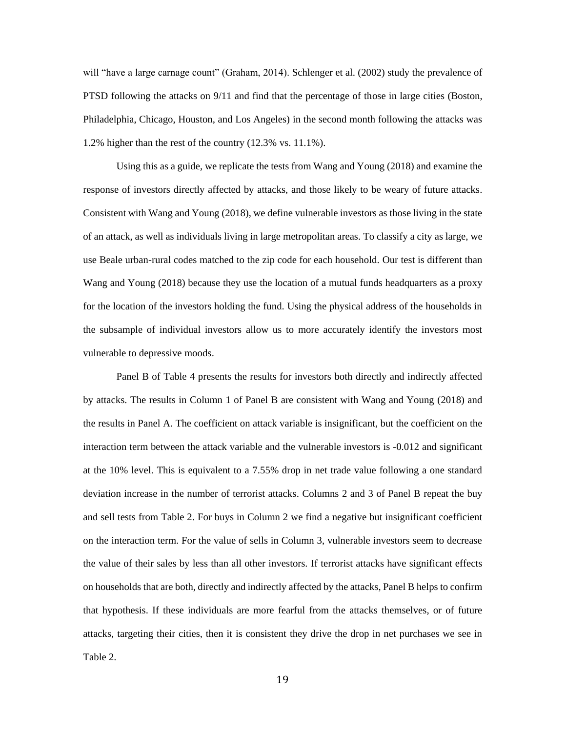will "have a large carnage count" (Graham, 2014). Schlenger et al. (2002) study the prevalence of PTSD following the attacks on 9/11 and find that the percentage of those in large cities (Boston, Philadelphia, Chicago, Houston, and Los Angeles) in the second month following the attacks was 1.2% higher than the rest of the country (12.3% vs. 11.1%).

Using this as a guide, we replicate the tests from Wang and Young (2018) and examine the response of investors directly affected by attacks, and those likely to be weary of future attacks. Consistent with Wang and Young (2018), we define vulnerable investors as those living in the state of an attack, as well as individuals living in large metropolitan areas. To classify a city as large, we use Beale urban-rural codes matched to the zip code for each household. Our test is different than Wang and Young (2018) because they use the location of a mutual funds headquarters as a proxy for the location of the investors holding the fund. Using the physical address of the households in the subsample of individual investors allow us to more accurately identify the investors most vulnerable to depressive moods.

Panel B of Table 4 presents the results for investors both directly and indirectly affected by attacks. The results in Column 1 of Panel B are consistent with Wang and Young (2018) and the results in Panel A. The coefficient on attack variable is insignificant, but the coefficient on the interaction term between the attack variable and the vulnerable investors is -0.012 and significant at the 10% level. This is equivalent to a 7.55% drop in net trade value following a one standard deviation increase in the number of terrorist attacks. Columns 2 and 3 of Panel B repeat the buy and sell tests from Table 2. For buys in Column 2 we find a negative but insignificant coefficient on the interaction term. For the value of sells in Column 3, vulnerable investors seem to decrease the value of their sales by less than all other investors. If terrorist attacks have significant effects on households that are both, directly and indirectly affected by the attacks, Panel B helps to confirm that hypothesis. If these individuals are more fearful from the attacks themselves, or of future attacks, targeting their cities, then it is consistent they drive the drop in net purchases we see in Table 2.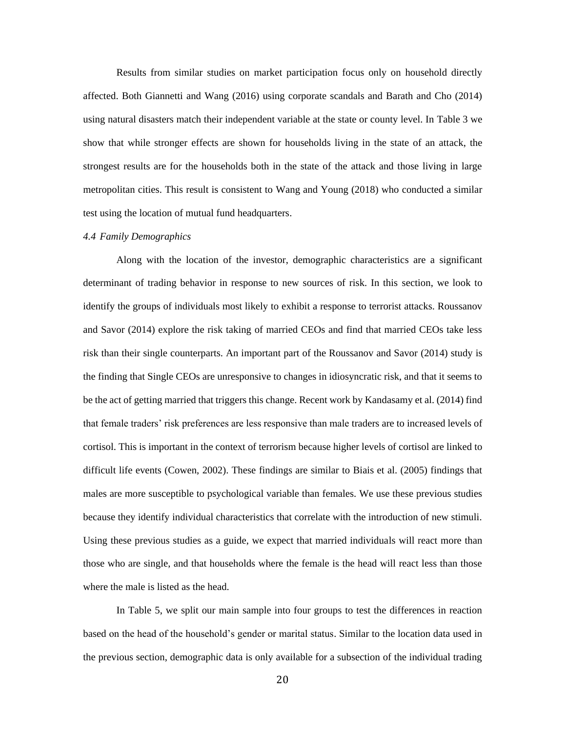Results from similar studies on market participation focus only on household directly affected. Both Giannetti and Wang (2016) using corporate scandals and Barath and Cho (2014) using natural disasters match their independent variable at the state or county level. In Table 3 we show that while stronger effects are shown for households living in the state of an attack, the strongest results are for the households both in the state of the attack and those living in large metropolitan cities. This result is consistent to Wang and Young (2018) who conducted a similar test using the location of mutual fund headquarters.

#### *4.4 Family Demographics*

Along with the location of the investor, demographic characteristics are a significant determinant of trading behavior in response to new sources of risk. In this section, we look to identify the groups of individuals most likely to exhibit a response to terrorist attacks. Roussanov and Savor (2014) explore the risk taking of married CEOs and find that married CEOs take less risk than their single counterparts. An important part of the Roussanov and Savor (2014) study is the finding that Single CEOs are unresponsive to changes in idiosyncratic risk, and that it seems to be the act of getting married that triggers this change. Recent work by Kandasamy et al. (2014) find that female traders' risk preferences are less responsive than male traders are to increased levels of cortisol. This is important in the context of terrorism because higher levels of cortisol are linked to difficult life events (Cowen, 2002). These findings are similar to Biais et al. (2005) findings that males are more susceptible to psychological variable than females. We use these previous studies because they identify individual characteristics that correlate with the introduction of new stimuli. Using these previous studies as a guide, we expect that married individuals will react more than those who are single, and that households where the female is the head will react less than those where the male is listed as the head.

In Table 5, we split our main sample into four groups to test the differences in reaction based on the head of the household's gender or marital status. Similar to the location data used in the previous section, demographic data is only available for a subsection of the individual trading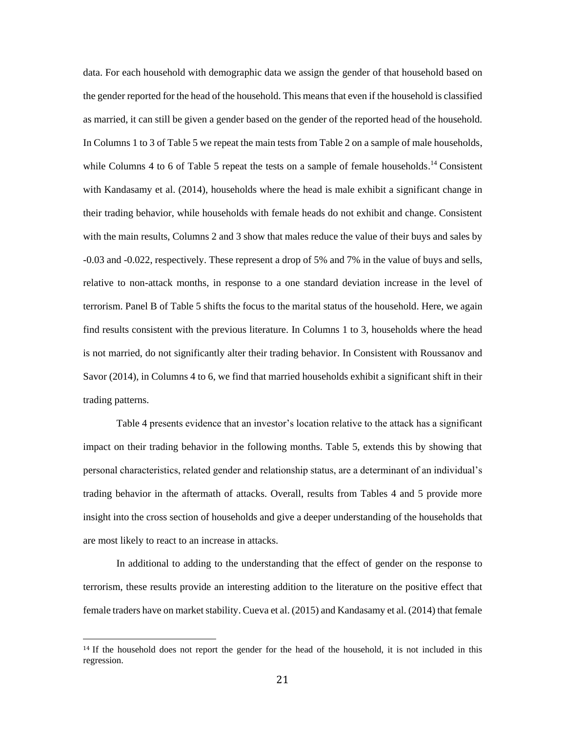data. For each household with demographic data we assign the gender of that household based on the gender reported for the head of the household. This means that even if the household is classified as married, it can still be given a gender based on the gender of the reported head of the household. In Columns 1 to 3 of Table 5 we repeat the main tests from Table 2 on a sample of male households, while Columns 4 to 6 of Table 5 repeat the tests on a sample of female households.<sup>14</sup> Consistent with Kandasamy et al. (2014), households where the head is male exhibit a significant change in their trading behavior, while households with female heads do not exhibit and change. Consistent with the main results, Columns 2 and 3 show that males reduce the value of their buys and sales by -0.03 and -0.022, respectively. These represent a drop of 5% and 7% in the value of buys and sells, relative to non-attack months, in response to a one standard deviation increase in the level of terrorism. Panel B of Table 5 shifts the focus to the marital status of the household. Here, we again find results consistent with the previous literature. In Columns 1 to 3, households where the head is not married, do not significantly alter their trading behavior. In Consistent with Roussanov and Savor (2014), in Columns 4 to 6, we find that married households exhibit a significant shift in their trading patterns.

Table 4 presents evidence that an investor's location relative to the attack has a significant impact on their trading behavior in the following months. Table 5, extends this by showing that personal characteristics, related gender and relationship status, are a determinant of an individual's trading behavior in the aftermath of attacks. Overall, results from Tables 4 and 5 provide more insight into the cross section of households and give a deeper understanding of the households that are most likely to react to an increase in attacks.

In additional to adding to the understanding that the effect of gender on the response to terrorism, these results provide an interesting addition to the literature on the positive effect that female traders have on market stability. Cueva et al. (2015) and Kandasamy et al. (2014) that female

<sup>&</sup>lt;sup>14</sup> If the household does not report the gender for the head of the household, it is not included in this regression.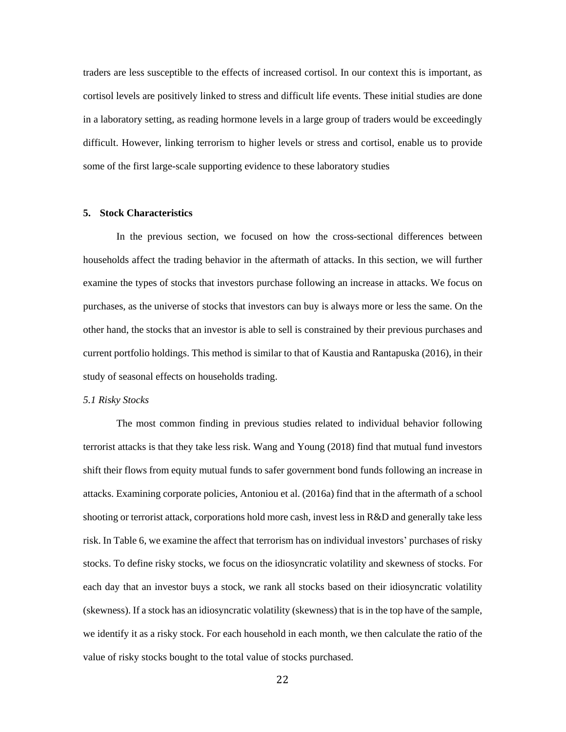traders are less susceptible to the effects of increased cortisol. In our context this is important, as cortisol levels are positively linked to stress and difficult life events. These initial studies are done in a laboratory setting, as reading hormone levels in a large group of traders would be exceedingly difficult. However, linking terrorism to higher levels or stress and cortisol, enable us to provide some of the first large-scale supporting evidence to these laboratory studies

## **5. Stock Characteristics**

In the previous section, we focused on how the cross-sectional differences between households affect the trading behavior in the aftermath of attacks. In this section, we will further examine the types of stocks that investors purchase following an increase in attacks. We focus on purchases, as the universe of stocks that investors can buy is always more or less the same. On the other hand, the stocks that an investor is able to sell is constrained by their previous purchases and current portfolio holdings. This method is similar to that of Kaustia and Rantapuska (2016), in their study of seasonal effects on households trading.

### *5.1 Risky Stocks*

The most common finding in previous studies related to individual behavior following terrorist attacks is that they take less risk. Wang and Young (2018) find that mutual fund investors shift their flows from equity mutual funds to safer government bond funds following an increase in attacks. Examining corporate policies, Antoniou et al. (2016a) find that in the aftermath of a school shooting or terrorist attack, corporations hold more cash, invest less in R&D and generally take less risk. In Table 6, we examine the affect that terrorism has on individual investors' purchases of risky stocks. To define risky stocks, we focus on the idiosyncratic volatility and skewness of stocks. For each day that an investor buys a stock, we rank all stocks based on their idiosyncratic volatility (skewness). If a stock has an idiosyncratic volatility (skewness) that is in the top have of the sample, we identify it as a risky stock. For each household in each month, we then calculate the ratio of the value of risky stocks bought to the total value of stocks purchased.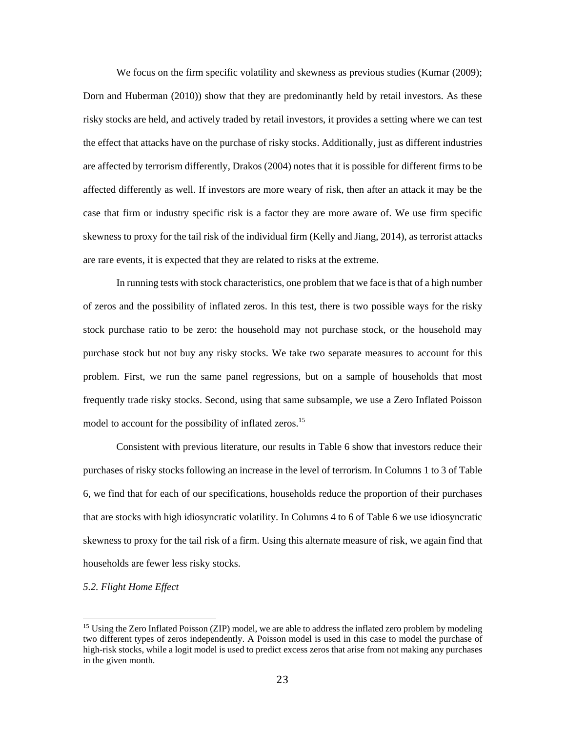We focus on the firm specific volatility and skewness as previous studies (Kumar (2009); Dorn and Huberman (2010)) show that they are predominantly held by retail investors. As these risky stocks are held, and actively traded by retail investors, it provides a setting where we can test the effect that attacks have on the purchase of risky stocks. Additionally, just as different industries are affected by terrorism differently, Drakos (2004) notes that it is possible for different firms to be affected differently as well. If investors are more weary of risk, then after an attack it may be the case that firm or industry specific risk is a factor they are more aware of. We use firm specific skewness to proxy for the tail risk of the individual firm (Kelly and Jiang, 2014), as terrorist attacks are rare events, it is expected that they are related to risks at the extreme.

In running tests with stock characteristics, one problem that we face is that of a high number of zeros and the possibility of inflated zeros. In this test, there is two possible ways for the risky stock purchase ratio to be zero: the household may not purchase stock, or the household may purchase stock but not buy any risky stocks. We take two separate measures to account for this problem. First, we run the same panel regressions, but on a sample of households that most frequently trade risky stocks. Second, using that same subsample, we use a Zero Inflated Poisson model to account for the possibility of inflated zeros.<sup>15</sup>

Consistent with previous literature, our results in Table 6 show that investors reduce their purchases of risky stocks following an increase in the level of terrorism. In Columns 1 to 3 of Table 6, we find that for each of our specifications, households reduce the proportion of their purchases that are stocks with high idiosyncratic volatility. In Columns 4 to 6 of Table 6 we use idiosyncratic skewness to proxy for the tail risk of a firm. Using this alternate measure of risk, we again find that households are fewer less risky stocks.

#### *5.2. Flight Home Effect*

<sup>&</sup>lt;sup>15</sup> Using the Zero Inflated Poisson (ZIP) model, we are able to address the inflated zero problem by modeling two different types of zeros independently. A Poisson model is used in this case to model the purchase of high-risk stocks, while a logit model is used to predict excess zeros that arise from not making any purchases in the given month.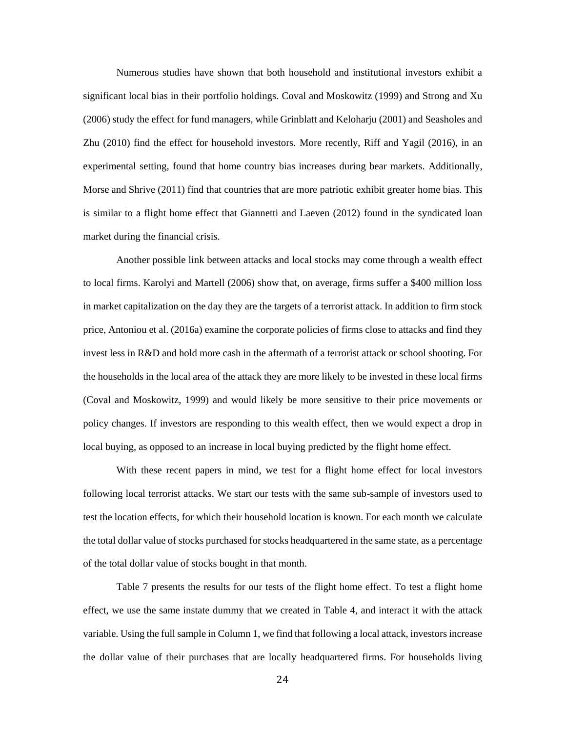Numerous studies have shown that both household and institutional investors exhibit a significant local bias in their portfolio holdings. Coval and Moskowitz (1999) and Strong and Xu (2006) study the effect for fund managers, while Grinblatt and Keloharju (2001) and Seasholes and Zhu (2010) find the effect for household investors. More recently, Riff and Yagil (2016), in an experimental setting, found that home country bias increases during bear markets. Additionally, Morse and Shrive (2011) find that countries that are more patriotic exhibit greater home bias. This is similar to a flight home effect that Giannetti and Laeven (2012) found in the syndicated loan market during the financial crisis.

Another possible link between attacks and local stocks may come through a wealth effect to local firms. Karolyi and Martell (2006) show that, on average, firms suffer a \$400 million loss in market capitalization on the day they are the targets of a terrorist attack. In addition to firm stock price, Antoniou et al. (2016a) examine the corporate policies of firms close to attacks and find they invest less in R&D and hold more cash in the aftermath of a terrorist attack or school shooting. For the households in the local area of the attack they are more likely to be invested in these local firms (Coval and Moskowitz, 1999) and would likely be more sensitive to their price movements or policy changes. If investors are responding to this wealth effect, then we would expect a drop in local buying, as opposed to an increase in local buying predicted by the flight home effect.

With these recent papers in mind, we test for a flight home effect for local investors following local terrorist attacks. We start our tests with the same sub-sample of investors used to test the location effects, for which their household location is known. For each month we calculate the total dollar value of stocks purchased for stocks headquartered in the same state, as a percentage of the total dollar value of stocks bought in that month.

Table 7 presents the results for our tests of the flight home effect. To test a flight home effect, we use the same instate dummy that we created in Table 4, and interact it with the attack variable. Using the full sample in Column 1, we find that following a local attack, investors increase the dollar value of their purchases that are locally headquartered firms. For households living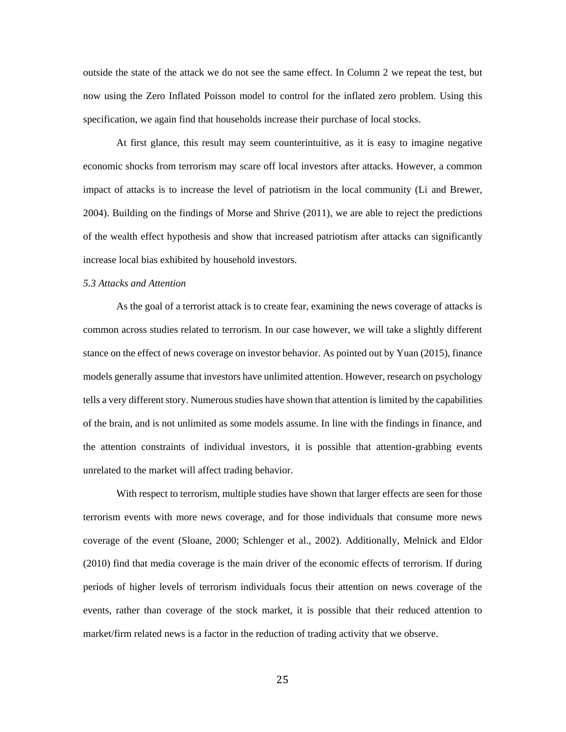outside the state of the attack we do not see the same effect. In Column 2 we repeat the test, but now using the Zero Inflated Poisson model to control for the inflated zero problem. Using this specification, we again find that households increase their purchase of local stocks.

At first glance, this result may seem counterintuitive, as it is easy to imagine negative economic shocks from terrorism may scare off local investors after attacks. However, a common impact of attacks is to increase the level of patriotism in the local community (Li and Brewer, 2004). Building on the findings of Morse and Shrive (2011), we are able to reject the predictions of the wealth effect hypothesis and show that increased patriotism after attacks can significantly increase local bias exhibited by household investors.

#### *5.3 Attacks and Attention*

As the goal of a terrorist attack is to create fear, examining the news coverage of attacks is common across studies related to terrorism. In our case however, we will take a slightly different stance on the effect of news coverage on investor behavior. As pointed out by Yuan (2015), finance models generally assume that investors have unlimited attention. However, research on psychology tells a very different story. Numerous studies have shown that attention is limited by the capabilities of the brain, and is not unlimited as some models assume. In line with the findings in finance, and the attention constraints of individual investors, it is possible that attention-grabbing events unrelated to the market will affect trading behavior.

With respect to terrorism, multiple studies have shown that larger effects are seen for those terrorism events with more news coverage, and for those individuals that consume more news coverage of the event (Sloane, 2000; Schlenger et al., 2002). Additionally, Melnick and Eldor (2010) find that media coverage is the main driver of the economic effects of terrorism. If during periods of higher levels of terrorism individuals focus their attention on news coverage of the events, rather than coverage of the stock market, it is possible that their reduced attention to market/firm related news is a factor in the reduction of trading activity that we observe.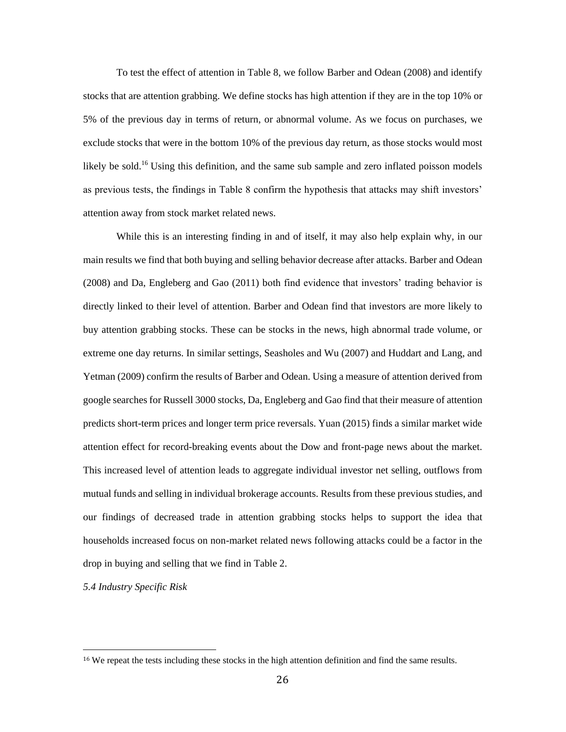To test the effect of attention in Table 8, we follow Barber and Odean (2008) and identify stocks that are attention grabbing. We define stocks has high attention if they are in the top 10% or 5% of the previous day in terms of return, or abnormal volume. As we focus on purchases, we exclude stocks that were in the bottom 10% of the previous day return, as those stocks would most likely be sold.<sup>16</sup> Using this definition, and the same sub sample and zero inflated poisson models as previous tests, the findings in Table 8 confirm the hypothesis that attacks may shift investors' attention away from stock market related news.

While this is an interesting finding in and of itself, it may also help explain why, in our main results we find that both buying and selling behavior decrease after attacks. Barber and Odean (2008) and Da, Engleberg and Gao (2011) both find evidence that investors' trading behavior is directly linked to their level of attention. Barber and Odean find that investors are more likely to buy attention grabbing stocks. These can be stocks in the news, high abnormal trade volume, or extreme one day returns. In similar settings, Seasholes and Wu (2007) and Huddart and Lang, and Yetman (2009) confirm the results of Barber and Odean. Using a measure of attention derived from google searches for Russell 3000 stocks, Da, Engleberg and Gao find that their measure of attention predicts short-term prices and longer term price reversals. Yuan (2015) finds a similar market wide attention effect for record-breaking events about the Dow and front-page news about the market. This increased level of attention leads to aggregate individual investor net selling, outflows from mutual funds and selling in individual brokerage accounts. Results from these previous studies, and our findings of decreased trade in attention grabbing stocks helps to support the idea that households increased focus on non-market related news following attacks could be a factor in the drop in buying and selling that we find in Table 2.

*5.4 Industry Specific Risk*

l

<sup>&</sup>lt;sup>16</sup> We repeat the tests including these stocks in the high attention definition and find the same results.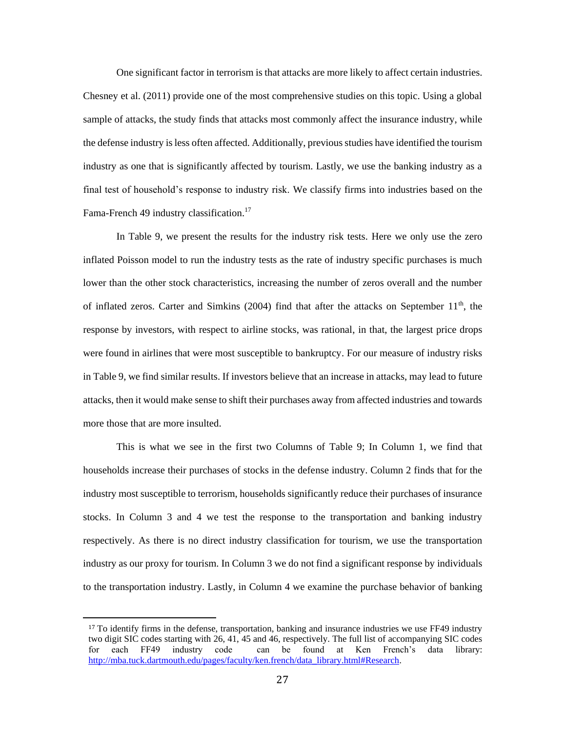One significant factor in terrorism is that attacks are more likely to affect certain industries. Chesney et al. (2011) provide one of the most comprehensive studies on this topic. Using a global sample of attacks, the study finds that attacks most commonly affect the insurance industry, while the defense industry is less often affected. Additionally, previous studies have identified the tourism industry as one that is significantly affected by tourism. Lastly, we use the banking industry as a final test of household's response to industry risk. We classify firms into industries based on the Fama-French 49 industry classification.<sup>17</sup>

In Table 9, we present the results for the industry risk tests. Here we only use the zero inflated Poisson model to run the industry tests as the rate of industry specific purchases is much lower than the other stock characteristics, increasing the number of zeros overall and the number of inflated zeros. Carter and Simkins (2004) find that after the attacks on September  $11<sup>th</sup>$ , the response by investors, with respect to airline stocks, was rational, in that, the largest price drops were found in airlines that were most susceptible to bankruptcy. For our measure of industry risks in Table 9, we find similar results. If investors believe that an increase in attacks, may lead to future attacks, then it would make sense to shift their purchases away from affected industries and towards more those that are more insulted.

This is what we see in the first two Columns of Table 9; In Column 1, we find that households increase their purchases of stocks in the defense industry. Column 2 finds that for the industry most susceptible to terrorism, households significantly reduce their purchases of insurance stocks. In Column 3 and 4 we test the response to the transportation and banking industry respectively. As there is no direct industry classification for tourism, we use the transportation industry as our proxy for tourism. In Column 3 we do not find a significant response by individuals to the transportation industry. Lastly, in Column 4 we examine the purchase behavior of banking

l

<sup>&</sup>lt;sup>17</sup> To identify firms in the defense, transportation, banking and insurance industries we use FF49 industry two digit SIC codes starting with 26, 41, 45 and 46, respectively. The full list of accompanying SIC codes for each FF49 industry code can be found at Ken French's data library: [http://mba.tuck.dartmouth.edu/pages/faculty/ken.french/data\\_library.html#Research.](http://mba.tuck.dartmouth.edu/pages/faculty/ken.french/data_library.html#Research)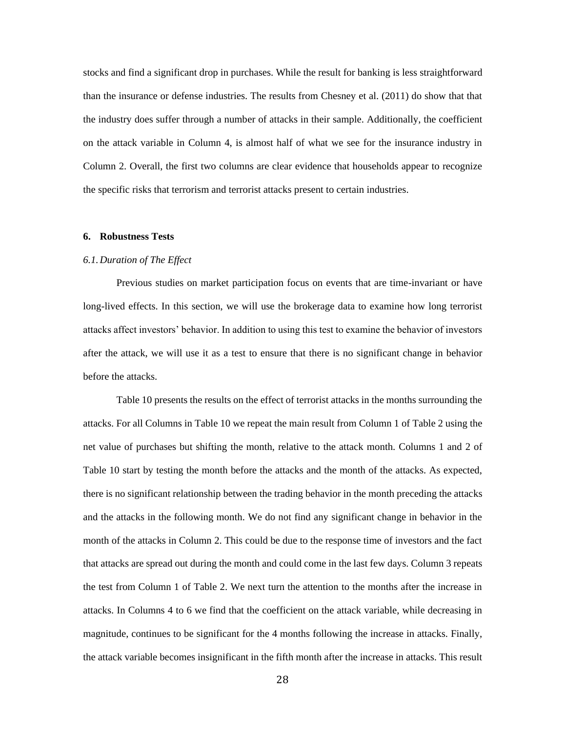stocks and find a significant drop in purchases. While the result for banking is less straightforward than the insurance or defense industries. The results from Chesney et al. (2011) do show that that the industry does suffer through a number of attacks in their sample. Additionally, the coefficient on the attack variable in Column 4, is almost half of what we see for the insurance industry in Column 2. Overall, the first two columns are clear evidence that households appear to recognize the specific risks that terrorism and terrorist attacks present to certain industries.

#### **6. Robustness Tests**

## *6.1.Duration of The Effect*

Previous studies on market participation focus on events that are time-invariant or have long-lived effects. In this section, we will use the brokerage data to examine how long terrorist attacks affect investors' behavior. In addition to using this test to examine the behavior of investors after the attack, we will use it as a test to ensure that there is no significant change in behavior before the attacks.

Table 10 presents the results on the effect of terrorist attacks in the months surrounding the attacks. For all Columns in Table 10 we repeat the main result from Column 1 of Table 2 using the net value of purchases but shifting the month, relative to the attack month. Columns 1 and 2 of Table 10 start by testing the month before the attacks and the month of the attacks. As expected, there is no significant relationship between the trading behavior in the month preceding the attacks and the attacks in the following month. We do not find any significant change in behavior in the month of the attacks in Column 2. This could be due to the response time of investors and the fact that attacks are spread out during the month and could come in the last few days. Column 3 repeats the test from Column 1 of Table 2. We next turn the attention to the months after the increase in attacks. In Columns 4 to 6 we find that the coefficient on the attack variable, while decreasing in magnitude, continues to be significant for the 4 months following the increase in attacks. Finally, the attack variable becomes insignificant in the fifth month after the increase in attacks. This result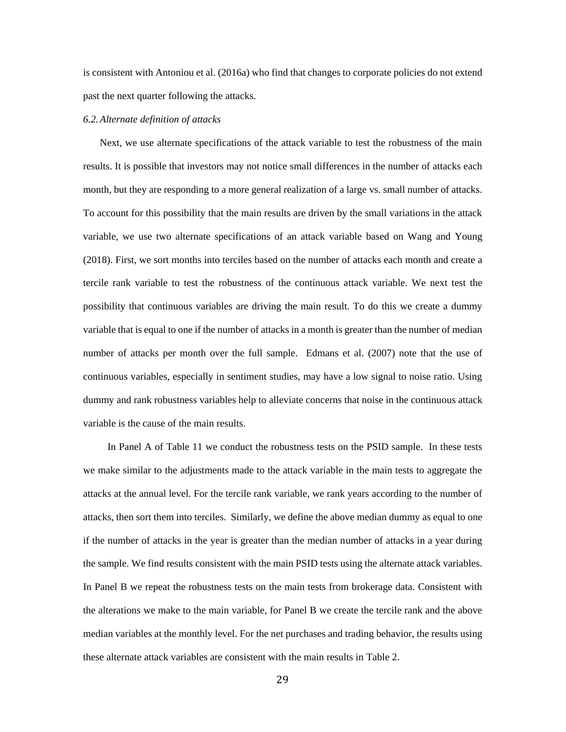is consistent with Antoniou et al. (2016a) who find that changes to corporate policies do not extend past the next quarter following the attacks.

#### *6.2.Alternate definition of attacks*

Next, we use alternate specifications of the attack variable to test the robustness of the main results. It is possible that investors may not notice small differences in the number of attacks each month, but they are responding to a more general realization of a large vs. small number of attacks. To account for this possibility that the main results are driven by the small variations in the attack variable, we use two alternate specifications of an attack variable based on Wang and Young (2018). First, we sort months into terciles based on the number of attacks each month and create a tercile rank variable to test the robustness of the continuous attack variable. We next test the possibility that continuous variables are driving the main result. To do this we create a dummy variable that is equal to one if the number of attacks in a month is greater than the number of median number of attacks per month over the full sample. Edmans et al. (2007) note that the use of continuous variables, especially in sentiment studies, may have a low signal to noise ratio. Using dummy and rank robustness variables help to alleviate concerns that noise in the continuous attack variable is the cause of the main results.

In Panel A of Table 11 we conduct the robustness tests on the PSID sample. In these tests we make similar to the adjustments made to the attack variable in the main tests to aggregate the attacks at the annual level. For the tercile rank variable, we rank years according to the number of attacks, then sort them into terciles. Similarly, we define the above median dummy as equal to one if the number of attacks in the year is greater than the median number of attacks in a year during the sample. We find results consistent with the main PSID tests using the alternate attack variables. In Panel B we repeat the robustness tests on the main tests from brokerage data. Consistent with the alterations we make to the main variable, for Panel B we create the tercile rank and the above median variables at the monthly level. For the net purchases and trading behavior, the results using these alternate attack variables are consistent with the main results in Table 2.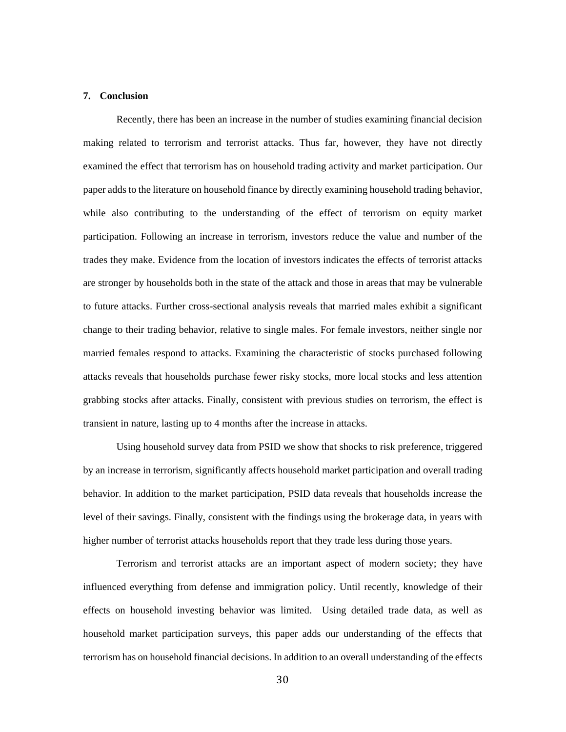#### **7. Conclusion**

Recently, there has been an increase in the number of studies examining financial decision making related to terrorism and terrorist attacks. Thus far, however, they have not directly examined the effect that terrorism has on household trading activity and market participation. Our paper adds to the literature on household finance by directly examining household trading behavior, while also contributing to the understanding of the effect of terrorism on equity market participation. Following an increase in terrorism, investors reduce the value and number of the trades they make. Evidence from the location of investors indicates the effects of terrorist attacks are stronger by households both in the state of the attack and those in areas that may be vulnerable to future attacks. Further cross-sectional analysis reveals that married males exhibit a significant change to their trading behavior, relative to single males. For female investors, neither single nor married females respond to attacks. Examining the characteristic of stocks purchased following attacks reveals that households purchase fewer risky stocks, more local stocks and less attention grabbing stocks after attacks. Finally, consistent with previous studies on terrorism, the effect is transient in nature, lasting up to 4 months after the increase in attacks.

Using household survey data from PSID we show that shocks to risk preference, triggered by an increase in terrorism, significantly affects household market participation and overall trading behavior. In addition to the market participation, PSID data reveals that households increase the level of their savings. Finally, consistent with the findings using the brokerage data, in years with higher number of terrorist attacks households report that they trade less during those years.

Terrorism and terrorist attacks are an important aspect of modern society; they have influenced everything from defense and immigration policy. Until recently, knowledge of their effects on household investing behavior was limited. Using detailed trade data, as well as household market participation surveys, this paper adds our understanding of the effects that terrorism has on household financial decisions. In addition to an overall understanding of the effects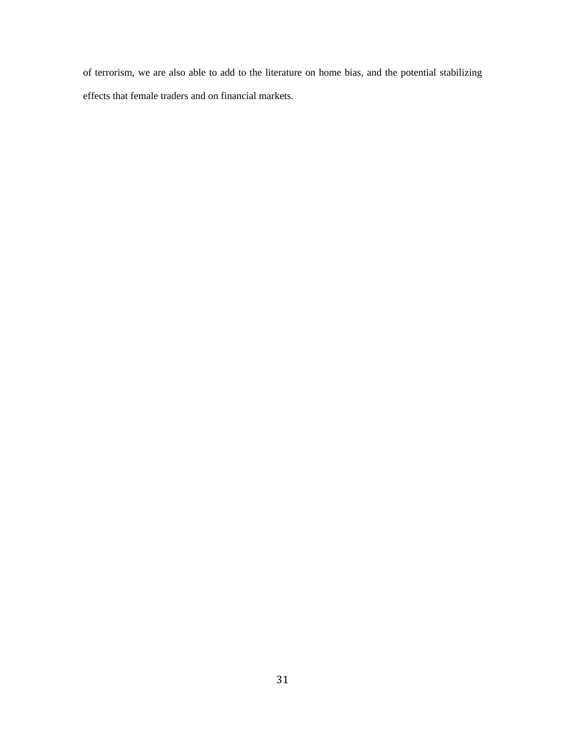of terrorism, we are also able to add to the literature on home bias, and the potential stabilizing effects that female traders and on financial markets.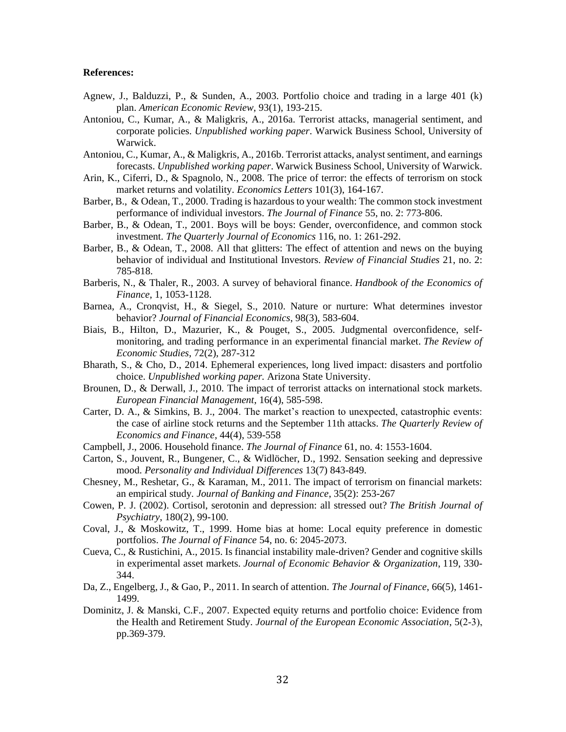#### **References:**

- Agnew, J., Balduzzi, P., & Sunden, A., 2003. Portfolio choice and trading in a large 401 (k) plan. *American Economic Review*, 93(1), 193-215.
- Antoniou, C., Kumar, A., & Maligkris, A., 2016a. Terrorist attacks, managerial sentiment, and corporate policies. *Unpublished working paper*. Warwick Business School, University of Warwick.
- Antoniou, C., Kumar, A., & Maligkris, A., 2016b. Terrorist attacks, analyst sentiment, and earnings forecasts. *Unpublished working paper*. Warwick Business School, University of Warwick.
- Arin, K., Ciferri, D., & Spagnolo, N., 2008. The price of terror: the effects of terrorism on stock market returns and volatility. *Economics Letters* 101(3), 164-167.
- Barber, B., & Odean, T., 2000. Trading is hazardous to your wealth: The common stock investment performance of individual investors. *The Journal of Finance* 55, no. 2: 773-806.
- Barber, B., & Odean, T., 2001. Boys will be boys: Gender, overconfidence, and common stock investment. *The Quarterly Journal of Economics* 116, no. 1: 261-292.
- Barber, B., & Odean, T., 2008. All that glitters: The effect of attention and news on the buying behavior of individual and Institutional Investors. *Review of Financial Studies* 21, no. 2: 785-818.
- Barberis, N., & Thaler, R., 2003. A survey of behavioral finance. *Handbook of the Economics of Finance*, 1, 1053-1128.
- Barnea, A., Cronqvist, H., & Siegel, S., 2010. Nature or nurture: What determines investor behavior? *Journal of Financial Economics*, 98(3), 583-604.
- Biais, B., Hilton, D., Mazurier, K., & Pouget, S., 2005. Judgmental overconfidence, selfmonitoring, and trading performance in an experimental financial market. *The Review of Economic Studies*, 72(2), 287-312
- Bharath, S., & Cho, D., 2014. Ephemeral experiences, long lived impact: disasters and portfolio choice. *Unpublished working paper.* Arizona State University.
- Brounen, D., & Derwall, J., 2010. The impact of terrorist attacks on international stock markets. *European Financial Management*, 16(4), 585-598.
- Carter, D. A., & Simkins, B. J., 2004. The market's reaction to unexpected, catastrophic events: the case of airline stock returns and the September 11th attacks. *The Quarterly Review of Economics and Finance*, 44(4), 539-558
- Campbell, J., 2006. Household finance. *The Journal of Finance* 61, no. 4: 1553-1604.
- Carton, S., Jouvent, R., Bungener, C., & Widlöcher, D., 1992. Sensation seeking and depressive mood. *Personality and Individual Differences* 13(7) 843-849.
- Chesney, M., Reshetar, G., & Karaman, M., 2011. The impact of terrorism on financial markets: an empirical study*. Journal of Banking and Finance*, 35(2): 253-267
- Cowen, P. J. (2002). Cortisol, serotonin and depression: all stressed out? *The British Journal of Psychiatry*, 180(2), 99-100.
- Coval, J., & Moskowitz, T., 1999. Home bias at home: Local equity preference in domestic portfolios. *The Journal of Finance* 54, no. 6: 2045-2073.
- Cueva, C., & Rustichini, A., 2015. Is financial instability male-driven? Gender and cognitive skills in experimental asset markets. *Journal of Economic Behavior & Organization*, 119, 330- 344.
- Da, Z., Engelberg, J., & Gao, P., 2011. In search of attention. *The Journal of Finance*, 66(5), 1461- 1499.
- Dominitz, J. & Manski, C.F., 2007. Expected equity returns and portfolio choice: Evidence from the Health and Retirement Study. *Journal of the European Economic Association*, 5(2‐3), pp.369-379.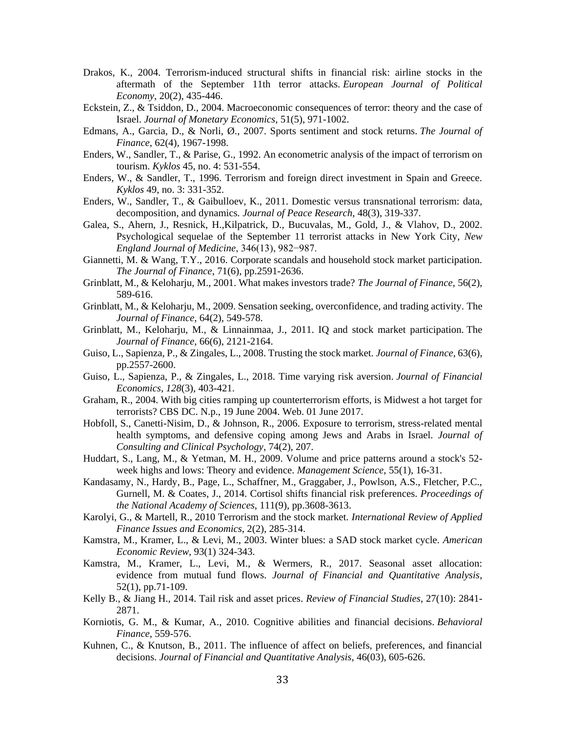- Drakos, K., 2004. Terrorism-induced structural shifts in financial risk: airline stocks in the aftermath of the September 11th terror attacks. *European Journal of Political Economy*, 20(2), 435-446.
- Eckstein, Z., & Tsiddon, D., 2004. Macroeconomic consequences of terror: theory and the case of Israel. *Journal of Monetary Economics*, 51(5), 971-1002.
- Edmans, A., Garcia, D., & Norli, Ø., 2007. Sports sentiment and stock returns. *The Journal of Finance*, 62(4), 1967-1998.
- Enders, W., Sandler, T., & Parise, G., 1992. An econometric analysis of the impact of terrorism on tourism. *Kyklos* 45, no. 4: 531-554.
- Enders, W., & Sandler, T., 1996. Terrorism and foreign direct investment in Spain and Greece. *Kyklos* 49, no. 3: 331-352.
- Enders, W., Sandler, T., & Gaibulloev, K., 2011. Domestic versus transnational terrorism: data, decomposition, and dynamics*. Journal of Peace Research*, 48(3), 319-337.
- Galea, S., Ahern, J., Resnick, H.,Kilpatrick, D., Bucuvalas, M., Gold, J., & Vlahov, D., 2002. Psychological sequelae of the September 11 terrorist attacks in New York City, *New England Journal of Medicine*, 346(13), 982−987.
- Giannetti, M. & Wang, T.Y., 2016. Corporate scandals and household stock market participation. *The Journal of Finance*, 71(6), pp.2591-2636.
- Grinblatt, M., & Keloharju, M., 2001. What makes investors trade? *The Journal of Finance*, 56(2), 589-616.
- Grinblatt, M., & Keloharju, M., 2009. Sensation seeking, overconfidence, and trading activity. The *Journal of Finance*, 64(2), 549-578.
- Grinblatt, M., Keloharju, M., & Linnainmaa, J., 2011. IQ and stock market participation. The *Journal of Finance*, 66(6), 2121-2164.
- Guiso, L., Sapienza, P., & Zingales, L., 2008. Trusting the stock market. *Journal of Finance*, 63(6), pp.2557-2600.
- Guiso, L., Sapienza, P., & Zingales, L., 2018. Time varying risk aversion. *Journal of Financial Economics*, *128*(3), 403-421.
- Graham, R., 2004. With big cities ramping up counterterrorism efforts, is Midwest a hot target for terrorists? CBS DC. N.p., 19 June 2004. Web. 01 June 2017.
- Hobfoll, S., Canetti-Nisim, D., & Johnson, R., 2006. Exposure to terrorism, stress-related mental health symptoms, and defensive coping among Jews and Arabs in Israel. *Journal of Consulting and Clinical Psychology*, 74(2), 207.
- Huddart, S., Lang, M., & Yetman, M. H., 2009. Volume and price patterns around a stock's 52 week highs and lows: Theory and evidence. *Management Science*, 55(1), 16-31.
- Kandasamy, N., Hardy, B., Page, L., Schaffner, M., Graggaber, J., Powlson, A.S., Fletcher, P.C., Gurnell, M. & Coates, J., 2014. Cortisol shifts financial risk preferences. *Proceedings of the National Academy of Sciences*, 111(9), pp.3608-3613.
- Karolyi, G., & Martell, R., 2010 Terrorism and the stock market*. International Review of Applied Finance Issues and Economics*, 2(2), 285-314.
- Kamstra, M., Kramer, L., & Levi, M., 2003. Winter blues: a SAD stock market cycle. *American Economic Review*, 93(1) 324-343.
- Kamstra, M., Kramer, L., Levi, M., & Wermers, R., 2017. Seasonal asset allocation: evidence from mutual fund flows. *Journal of Financial and Quantitative Analysis*, 52(1), pp.71-109.
- Kelly B., & Jiang H., 2014. Tail risk and asset prices. *Review of Financial Studies*, 27(10): 2841- 2871.
- Korniotis, G. M., & Kumar, A., 2010. Cognitive abilities and financial decisions. *Behavioral Finance*, 559-576.
- Kuhnen, C., & Knutson, B., 2011. The influence of affect on beliefs, preferences, and financial decisions. *Journal of Financial and Quantitative Analysis*, 46(03), 605-626.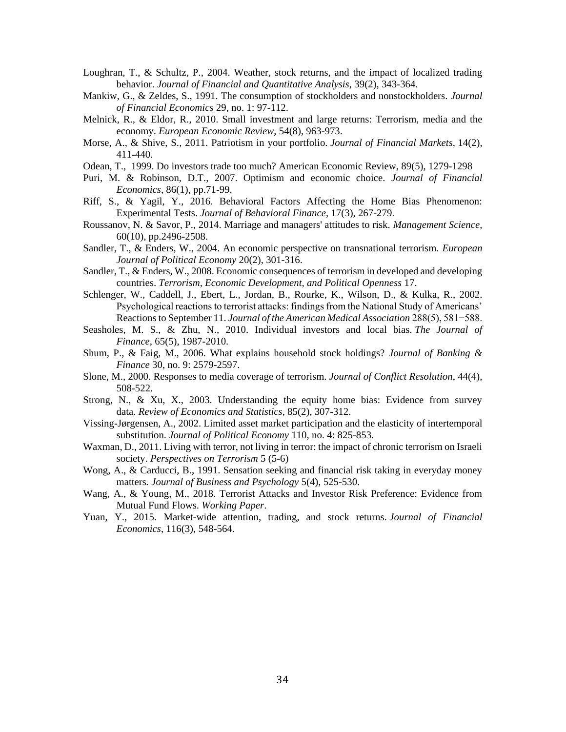- Loughran, T., & Schultz, P., 2004. Weather, stock returns, and the impact of localized trading behavior. *Journal of Financial and Quantitative Analysis*, 39(2), 343-364.
- Mankiw, G., & Zeldes, S., 1991. The consumption of stockholders and nonstockholders. *Journal of Financial Economics* 29, no. 1: 97-112.
- Melnick, R., & Eldor, R., 2010. Small investment and large returns: Terrorism, media and the economy. *European Economic Review*, 54(8), 963-973.
- Morse, A., & Shive, S., 2011. Patriotism in your portfolio. *Journal of Financial Markets*, 14(2), 411-440.
- Odean, T., 1999. Do investors trade too much? American Economic Review, 89(5), 1279-1298
- Puri, M. & Robinson, D.T., 2007. Optimism and economic choice. *Journal of Financial Economics*, 86(1), pp.71-99.
- Riff, S., & Yagil, Y., 2016. Behavioral Factors Affecting the Home Bias Phenomenon: Experimental Tests. *Journal of Behavioral Finance*, 17(3), 267-279.
- Roussanov, N. & Savor, P., 2014. Marriage and managers' attitudes to risk. *Management Science*, 60(10), pp.2496-2508.
- Sandler, T., & Enders, W., 2004. An economic perspective on transnational terrorism. *European Journal of Political Economy* 20(2), 301-316.
- Sandler, T., & Enders, W., 2008. Economic consequences of terrorism in developed and developing countries. *Terrorism, Economic Development, and Political Openness* 17.
- Schlenger, W., Caddell, J., Ebert, L., Jordan, B., Rourke, K., Wilson, D., & Kulka, R., 2002. Psychological reactions to terrorist attacks: findings from the National Study of Americans' Reactions to September 11. *Journal of the American Medical Association* 288(5), 581−588.
- Seasholes, M. S., & Zhu, N., 2010. Individual investors and local bias. *The Journal of Finance*, 65(5), 1987-2010.
- Shum, P., & Faig, M., 2006. What explains household stock holdings? *Journal of Banking & Finance* 30, no. 9: 2579-2597.
- Slone, M., 2000. Responses to media coverage of terrorism. *Journal of Conflict Resolution*, 44(4), 508-522.
- Strong, N., & Xu, X., 2003. Understanding the equity home bias: Evidence from survey data*. Review of Economics and Statistics*, 85(2), 307-312.
- Vissing-Jørgensen, A., 2002. Limited asset market participation and the elasticity of intertemporal substitution. *Journal of Political Economy* 110, no. 4: 825-853.
- Waxman, D., 2011. Living with terror, not living in terror: the impact of chronic terrorism on Israeli society. *Perspectives on Terrorism* 5 (5-6)
- Wong, A., & Carducci, B., 1991. Sensation seeking and financial risk taking in everyday money matters*. Journal of Business and Psychology* 5(4), 525-530.
- Wang, A., & Young, M., 2018. Terrorist Attacks and Investor Risk Preference: Evidence from Mutual Fund Flows. *Working Paper*.
- Yuan, Y., 2015. Market-wide attention, trading, and stock returns. *Journal of Financial Economics*, 116(3), 548-564.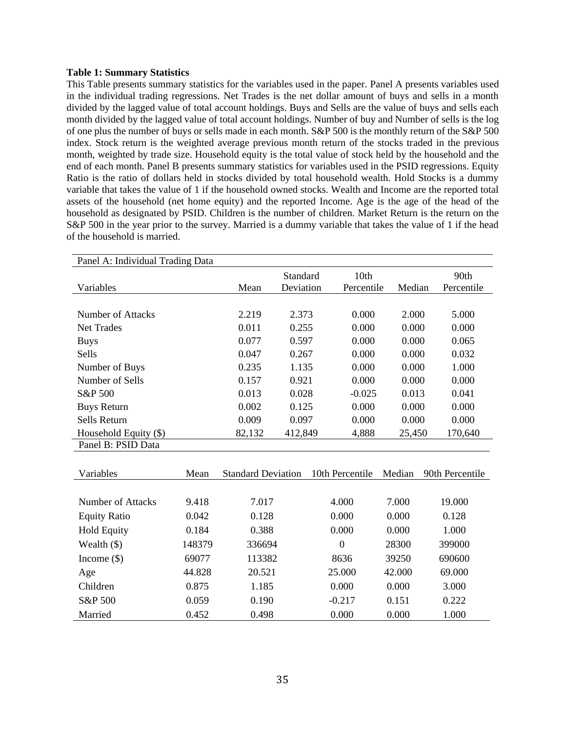## **Table 1: Summary Statistics**

This Table presents summary statistics for the variables used in the paper. Panel A presents variables used in the individual trading regressions. Net Trades is the net dollar amount of buys and sells in a month divided by the lagged value of total account holdings. Buys and Sells are the value of buys and sells each month divided by the lagged value of total account holdings. Number of buy and Number of sells is the log of one plus the number of buys or sells made in each month. S&P 500 is the monthly return of the S&P 500 index. Stock return is the weighted average previous month return of the stocks traded in the previous month, weighted by trade size. Household equity is the total value of stock held by the household and the end of each month. Panel B presents summary statistics for variables used in the PSID regressions. Equity Ratio is the ratio of dollars held in stocks divided by total household wealth. Hold Stocks is a dummy variable that takes the value of 1 if the household owned stocks. Wealth and Income are the reported total assets of the household (net home equity) and the reported Income. Age is the age of the head of the household as designated by PSID. Children is the number of children. Market Return is the return on the S&P 500 in the year prior to the survey. Married is a dummy variable that takes the value of 1 if the head of the household is married.

| Panel A: Individual Trading Data |        |                       |                    |        |                    |
|----------------------------------|--------|-----------------------|--------------------|--------|--------------------|
| Variables                        | Mean   | Standard<br>Deviation | 10th<br>Percentile | Median | 90th<br>Percentile |
|                                  |        |                       |                    |        |                    |
| Number of Attacks                | 2.219  | 2.373                 | 0.000              | 2.000  | 5.000              |
| <b>Net Trades</b>                | 0.011  | 0.255                 | 0.000              | 0.000  | 0.000              |
| <b>Buys</b>                      | 0.077  | 0.597                 | 0.000              | 0.000  | 0.065              |
| Sells                            | 0.047  | 0.267                 | 0.000              | 0.000  | 0.032              |
| Number of Buys                   | 0.235  | 1.135                 | 0.000              | 0.000  | 1.000              |
| Number of Sells                  | 0.157  | 0.921                 | 0.000              | 0.000  | 0.000              |
| S&P 500                          | 0.013  | 0.028                 | $-0.025$           | 0.013  | 0.041              |
| <b>Buys Return</b>               | 0.002  | 0.125                 | 0.000              | 0.000  | 0.000              |
| Sells Return                     | 0.009  | 0.097                 | 0.000              | 0.000  | 0.000              |
| Household Equity (\$)            | 82,132 | 412,849               | 4,888              | 25,450 | 170,640            |
| Panel B: PSID Data               |        |                       |                    |        |                    |

| Variables           | Mean   | <b>Standard Deviation</b> | 10th Percentile | Median | 90th Percentile |
|---------------------|--------|---------------------------|-----------------|--------|-----------------|
|                     |        |                           |                 |        |                 |
| Number of Attacks   | 9.418  | 7.017                     | 4.000           | 7.000  | 19.000          |
| <b>Equity Ratio</b> | 0.042  | 0.128                     | 0.000           | 0.000  | 0.128           |
| <b>Hold Equity</b>  | 0.184  | 0.388                     | 0.000           | 0.000  | 1.000           |
| Wealth $(\$)$       | 148379 | 336694                    | $\theta$        | 28300  | 399000          |
| Income $(\$)$       | 69077  | 113382                    | 8636            | 39250  | 690600          |
| Age                 | 44.828 | 20.521                    | 25,000          | 42,000 | 69,000          |
| Children            | 0.875  | 1.185                     | 0.000           | 0.000  | 3.000           |
| S&P 500             | 0.059  | 0.190                     | $-0.217$        | 0.151  | 0.222           |
| Married             | 0.452  | 0.498                     | 0.000           | 0.000  | 1.000           |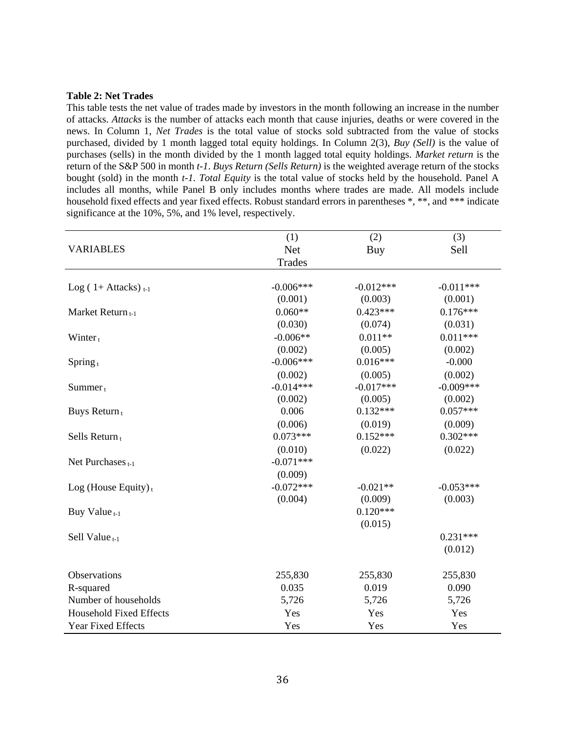#### **Table 2: Net Trades**

This table tests the net value of trades made by investors in the month following an increase in the number of attacks. *Attacks* is the number of attacks each month that cause injuries, deaths or were covered in the news. In Column 1, *Net Trades* is the total value of stocks sold subtracted from the value of stocks purchased, divided by 1 month lagged total equity holdings*.* In Column 2(3), *Buy (Sell)* is the value of purchases (sells) in the month divided by the 1 month lagged total equity holdings. *Market return* is the return of the S&P 500 in month *t-1*. *Buys Return (Sells Return)* is the weighted average return of the stocks bought (sold) in the month *t-1. Total Equity* is the total value of stocks held by the household. Panel A includes all months, while Panel B only includes months where trades are made. All models include household fixed effects and year fixed effects. Robust standard errors in parentheses  $*, **$ , and  $***$  indicate significance at the 10%, 5%, and 1% level, respectively.

|                                  | (1)         | (2)         | (3)         |
|----------------------------------|-------------|-------------|-------------|
| <b>VARIABLES</b>                 | <b>Net</b>  | Buy         | Sell        |
|                                  | Trades      |             |             |
|                                  |             |             |             |
| Log $(1 + \text{Attacks})_{t-1}$ | $-0.006***$ | $-0.012***$ | $-0.011***$ |
|                                  | (0.001)     | (0.003)     | (0.001)     |
| Market Return t-1                | $0.060**$   | $0.423***$  | $0.176***$  |
|                                  | (0.030)     | (0.074)     | (0.031)     |
| Winter $_{t}$                    | $-0.006**$  | $0.011**$   | $0.011***$  |
|                                  | (0.002)     | (0.005)     | (0.002)     |
| Spring $t$                       | $-0.006***$ | $0.016***$  | $-0.000$    |
|                                  | (0.002)     | (0.005)     | (0.002)     |
| $Summer_t$                       | $-0.014***$ | $-0.017***$ | $-0.009***$ |
|                                  | (0.002)     | (0.005)     | (0.002)     |
| Buys Return <sub>t</sub>         | 0.006       | $0.132***$  | $0.057***$  |
|                                  | (0.006)     | (0.019)     | (0.009)     |
| Sells Return $t$                 | $0.073***$  | $0.152***$  | $0.302***$  |
|                                  | (0.010)     | (0.022)     | (0.022)     |
| Net Purchases $t-1$              | $-0.071***$ |             |             |
|                                  | (0.009)     |             |             |
| Log (House Equity) $t$           | $-0.072***$ | $-0.021**$  | $-0.053***$ |
|                                  | (0.004)     | (0.009)     | (0.003)     |
| Buy Value <sub>t-1</sub>         |             | $0.120***$  |             |
|                                  |             | (0.015)     |             |
| Sell Value $_{t-1}$              |             |             | $0.231***$  |
|                                  |             |             | (0.012)     |
|                                  |             |             |             |
| Observations                     | 255,830     | 255,830     | 255,830     |
| R-squared                        | 0.035       | 0.019       | 0.090       |
| Number of households             | 5,726       | 5,726       | 5,726       |
| <b>Household Fixed Effects</b>   | Yes         | Yes         | Yes         |
| <b>Year Fixed Effects</b>        | Yes         | Yes         | Yes         |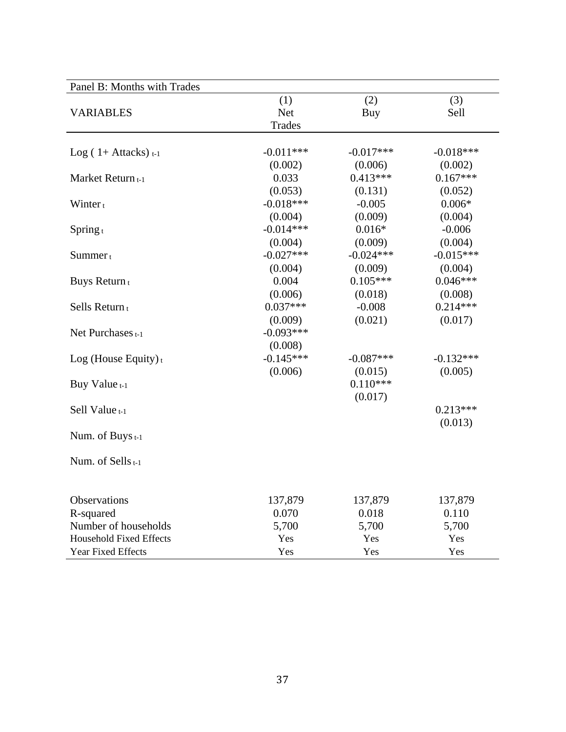| Panel B: Months with Trades      |                             |             |             |
|----------------------------------|-----------------------------|-------------|-------------|
| <b>VARIABLES</b>                 | (1)<br><b>Net</b><br>Trades | (2)<br>Buy  | (3)<br>Sell |
|                                  |                             |             |             |
| Log $(1 + \text{Attacks})_{t-1}$ | $-0.011***$                 | $-0.017***$ | $-0.018***$ |
|                                  | (0.002)                     | (0.006)     | (0.002)     |
| Market Return t-1                | 0.033                       | $0.413***$  | $0.167***$  |
|                                  | (0.053)                     | (0.131)     | (0.052)     |
| Winter $t$                       | $-0.018***$                 | $-0.005$    | $0.006*$    |
|                                  | (0.004)                     | (0.009)     | (0.004)     |
| Spring $t$                       | $-0.014***$                 | $0.016*$    | $-0.006$    |
|                                  | (0.004)                     | (0.009)     | (0.004)     |
| $Summer_t$                       | $-0.027***$                 | $-0.024***$ | $-0.015***$ |
|                                  | (0.004)                     | (0.009)     | (0.004)     |
| Buys Return <sub>t</sub>         | 0.004                       | $0.105***$  | $0.046***$  |
|                                  | (0.006)                     | (0.018)     | (0.008)     |
| Sells Return <sub>t</sub>        | $0.037***$                  | $-0.008$    | $0.214***$  |
|                                  | (0.009)                     | (0.021)     | (0.017)     |
| Net Purchases <sub>t-1</sub>     | $-0.093***$                 |             |             |
|                                  | (0.008)                     |             |             |
| Log (House Equity) $t$           | $-0.145***$                 | $-0.087***$ | $-0.132***$ |
|                                  | (0.006)                     | (0.015)     | (0.005)     |
| Buy Value t-1                    |                             | $0.110***$  |             |
|                                  |                             | (0.017)     |             |
| Sell Value t-1                   |                             |             | $0.213***$  |
|                                  |                             |             | (0.013)     |
| Num. of Buys <sub>t-1</sub>      |                             |             |             |
| Num. of Sells <sub>t-1</sub>     |                             |             |             |
|                                  |                             |             |             |
| <b>Observations</b>              | 137,879                     | 137,879     | 137,879     |
| R-squared                        | 0.070                       | 0.018       | 0.110       |
| Number of households             | 5,700                       | 5,700       | 5,700       |
| <b>Household Fixed Effects</b>   | Yes                         | Yes         | Yes         |
| <b>Year Fixed Effects</b>        | Yes                         | Yes         | Yes         |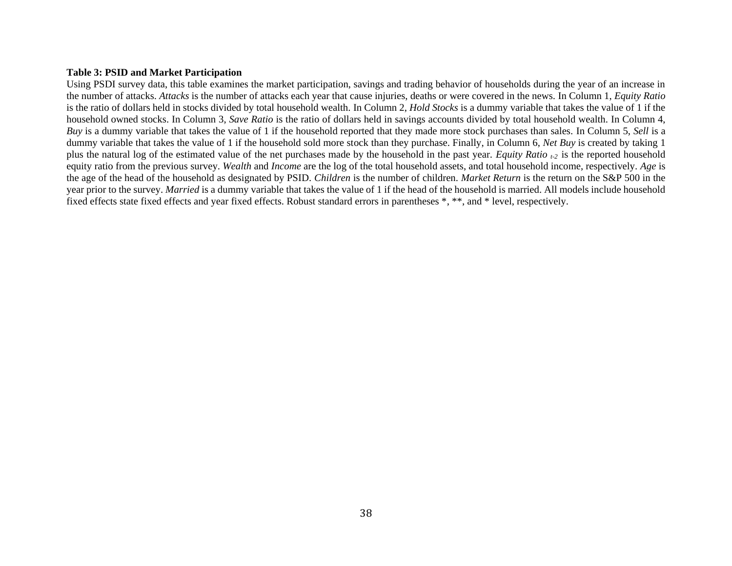## **Table 3: PSID and Market Participation**

Using PSDI survey data, this table examines the market participation, savings and trading behavior of households during the year of an increase in the number of attacks. *Attacks* is the number of attacks each year that cause injuries, deaths or were covered in the news. In Column 1, *Equity Ratio* is the ratio of dollars held in stocks divided by total household wealth. In Column 2, *Hold Stocks* is a dummy variable that takes the value of 1 if the household owned stocks. In Column 3, *Save Ratio* is the ratio of dollars held in savings accounts divided by total household wealth. In Column 4, *Buy* is a dummy variable that takes the value of 1 if the household reported that they made more stock purchases than sales. In Column 5, *Sell* is a dummy variable that takes the value of 1 if the household sold more stock than they purchase. Finally, in Column 6, *Net Buy* is created by taking 1 plus the natural log of the estimated value of the net purchases made by the household in the past year. *Equity Ratio t-2* is the reported household equity ratio from the previous survey. *Wealth* and *Income* are the log of the total household assets, and total household income, respectively. *Age* is the age of the head of the household as designated by PSID. *Children* is the number of children. *Market Return* is the return on the S&P 500 in the year prior to the survey. *Married* is a dummy variable that takes the value of 1 if the head of the household is married. All models include household fixed effects state fixed effects and year fixed effects. Robust standard errors in parentheses \*, \*\*, and \* level, respectively.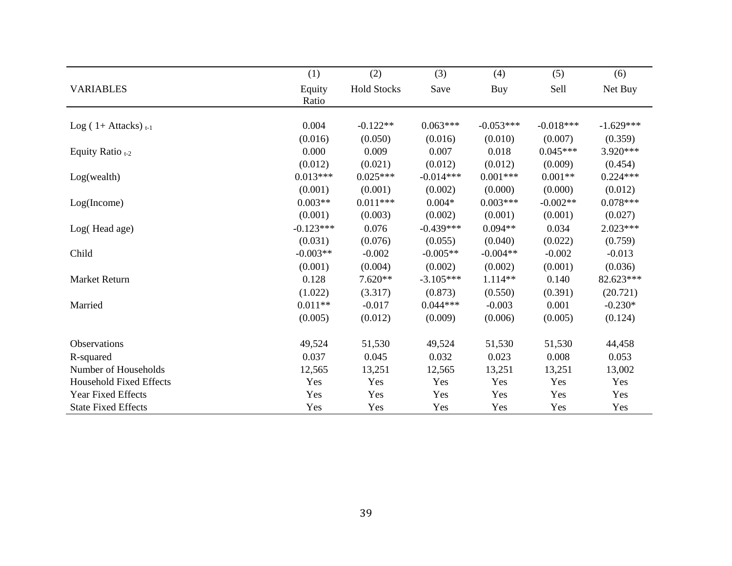|                                  | (1)             | (2)                | (3)         | (4)         | (5)         | (6)         |
|----------------------------------|-----------------|--------------------|-------------|-------------|-------------|-------------|
| <b>VARIABLES</b>                 | Equity<br>Ratio | <b>Hold Stocks</b> | Save        | Buy         | Sell        | Net Buy     |
|                                  |                 |                    |             |             |             |             |
| Log $(1 + \text{Attacks})_{t-1}$ | 0.004           | $-0.122**$         | $0.063***$  | $-0.053***$ | $-0.018***$ | $-1.629***$ |
|                                  | (0.016)         | (0.050)            | (0.016)     | (0.010)     | (0.007)     | (0.359)     |
| Equity Ratio $_{t-2}$            | 0.000           | 0.009              | 0.007       | 0.018       | $0.045***$  | 3.920***    |
|                                  | (0.012)         | (0.021)            | (0.012)     | (0.012)     | (0.009)     | (0.454)     |
| Log(wealth)                      | $0.013***$      | $0.025***$         | $-0.014***$ | $0.001***$  | $0.001**$   | $0.224***$  |
|                                  | (0.001)         | (0.001)            | (0.002)     | (0.000)     | (0.000)     | (0.012)     |
| Log(Income)                      | $0.003**$       | $0.011***$         | $0.004*$    | $0.003***$  | $-0.002**$  | $0.078***$  |
|                                  | (0.001)         | (0.003)            | (0.002)     | (0.001)     | (0.001)     | (0.027)     |
| Log(Head age)                    | $-0.123***$     | 0.076              | $-0.439***$ | $0.094**$   | 0.034       | $2.023***$  |
|                                  | (0.031)         | (0.076)            | (0.055)     | (0.040)     | (0.022)     | (0.759)     |
| Child                            | $-0.003**$      | $-0.002$           | $-0.005**$  | $-0.004**$  | $-0.002$    | $-0.013$    |
|                                  | (0.001)         | (0.004)            | (0.002)     | (0.002)     | (0.001)     | (0.036)     |
| Market Return                    | 0.128           | $7.620**$          | $-3.105***$ | $1.114**$   | 0.140       | 82.623***   |
|                                  | (1.022)         | (3.317)            | (0.873)     | (0.550)     | (0.391)     | (20.721)    |
| Married                          | $0.011**$       | $-0.017$           | $0.044***$  | $-0.003$    | 0.001       | $-0.230*$   |
|                                  | (0.005)         | (0.012)            | (0.009)     | (0.006)     | (0.005)     | (0.124)     |
| Observations                     | 49,524          | 51,530             | 49,524      | 51,530      | 51,530      | 44,458      |
| R-squared                        | 0.037           | 0.045              | 0.032       | 0.023       | 0.008       | 0.053       |
| Number of Households             | 12,565          | 13,251             | 12,565      | 13,251      | 13,251      | 13,002      |
| <b>Household Fixed Effects</b>   | Yes             | Yes                | Yes         | Yes         | Yes         | Yes         |
| <b>Year Fixed Effects</b>        | Yes             | Yes                | Yes         | Yes         | Yes         | Yes         |
| <b>State Fixed Effects</b>       | Yes             | Yes                | Yes         | Yes         | Yes         | Yes         |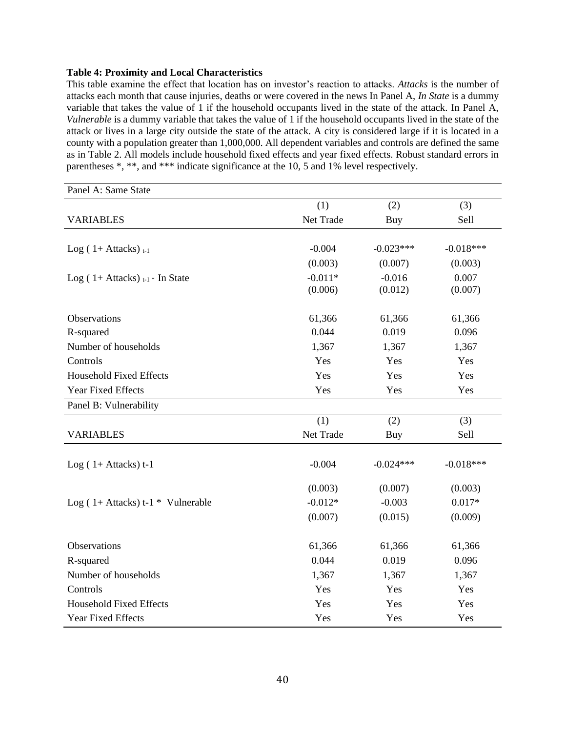## **Table 4: Proximity and Local Characteristics**

This table examine the effect that location has on investor's reaction to attacks. *Attacks* is the number of attacks each month that cause injuries, deaths or were covered in the news In Panel A, *In State* is a dummy variable that takes the value of 1 if the household occupants lived in the state of the attack. In Panel A, *Vulnerable* is a dummy variable that takes the value of 1 if the household occupants lived in the state of the attack or lives in a large city outside the state of the attack. A city is considered large if it is located in a county with a population greater than 1,000,000. All dependent variables and controls are defined the same as in Table 2. All models include household fixed effects and year fixed effects. Robust standard errors in parentheses \*, \*\*, and \*\*\* indicate significance at the 10, 5 and 1% level respectively.

| Panel A: Same State                                |           |             |             |
|----------------------------------------------------|-----------|-------------|-------------|
|                                                    | (1)       | (2)         | (3)         |
| <b>VARIABLES</b>                                   | Net Trade | Buy         | Sell        |
|                                                    |           |             |             |
| Log $(1 + \text{Attacks})_{t-1}$                   | $-0.004$  | $-0.023***$ | $-0.018***$ |
|                                                    | (0.003)   | (0.007)     | (0.003)     |
| Log (1+ Attacks) $_{t-1}$ In State                 | $-0.011*$ | $-0.016$    | 0.007       |
|                                                    | (0.006)   | (0.012)     | (0.007)     |
| Observations                                       | 61,366    | 61,366      | 61,366      |
| R-squared                                          | 0.044     | 0.019       | 0.096       |
| Number of households                               | 1,367     | 1,367       | 1,367       |
| Controls                                           | Yes       | Yes         | Yes         |
| <b>Household Fixed Effects</b>                     | Yes       | Yes         | Yes         |
| Year Fixed Effects                                 | Yes       | Yes         | Yes         |
| Panel B: Vulnerability                             |           |             |             |
|                                                    | (1)       | (2)         | (3)         |
| <b>VARIABLES</b>                                   | Net Trade | Buy         | Sell        |
| Log $(1+Attacks)$ t-1                              | $-0.004$  | $-0.024***$ | $-0.018***$ |
|                                                    | (0.003)   | (0.007)     | (0.003)     |
| Log $(1 + \text{Attacks}) t-1 * \text{Vulnerable}$ | $-0.012*$ | $-0.003$    | $0.017*$    |
|                                                    | (0.007)   | (0.015)     | (0.009)     |
| Observations                                       | 61,366    | 61,366      | 61,366      |
| R-squared                                          | 0.044     | 0.019       | 0.096       |
| Number of households                               | 1,367     | 1,367       | 1,367       |
| Controls                                           | Yes       | Yes         | Yes         |
| <b>Household Fixed Effects</b>                     | Yes       | Yes         | Yes         |
| Year Fixed Effects                                 | Yes       | Yes         | Yes         |
|                                                    |           |             |             |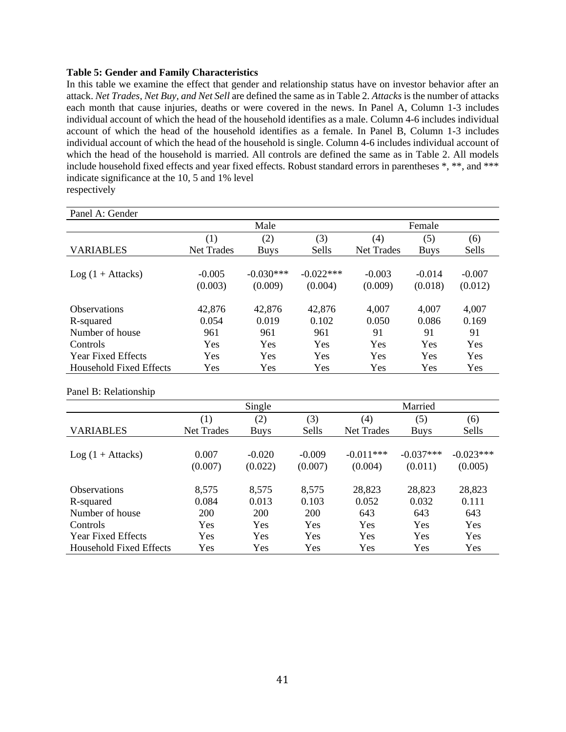## **Table 5: Gender and Family Characteristics**

In this table we examine the effect that gender and relationship status have on investor behavior after an attack. *Net Trades, Net Buy, and Net Sell* are defined the same as in Table 2. *Attacks* is the number of attacks each month that cause injuries, deaths or were covered in the news. In Panel A, Column 1-3 includes individual account of which the head of the household identifies as a male. Column 4-6 includes individual account of which the head of the household identifies as a female. In Panel B, Column 1-3 includes individual account of which the head of the household is single. Column 4-6 includes individual account of which the head of the household is married. All controls are defined the same as in Table 2. All models include household fixed effects and year fixed effects. Robust standard errors in parentheses \*, \*\*, and \*\*\* indicate significance at the 10, 5 and 1% level respectively

| Panel A: Gender           |                   |             |             |                   |             |            |  |
|---------------------------|-------------------|-------------|-------------|-------------------|-------------|------------|--|
|                           |                   | Male        |             |                   | Female      |            |  |
|                           | (1)               | (2)         | (3)         | (4)               | (5)         | (6)        |  |
| <b>VARIABLES</b>          | <b>Net Trades</b> | <b>Buys</b> | Sells       | <b>Net Trades</b> | <b>Buys</b> | Sells      |  |
|                           |                   |             |             |                   |             |            |  |
| $Log(1 + Attacks)$        | $-0.005$          | $-0.030***$ | $-0.022***$ | $-0.003$          | $-0.014$    | $-0.007$   |  |
|                           | (0.003)           | (0.009)     | (0.004)     | (0.009)           | (0.018)     | (0.012)    |  |
| <b>Observations</b>       | 42,876            | 42,876      | 42,876      | 4,007             | 4,007       | 4,007      |  |
| R-squared                 | 0.054             | 0.019       | 0.102       | 0.050             | 0.086       | 0.169      |  |
| Number of house           | 961               | 961         | 961         | 91                | 91          | 91         |  |
| Controls                  | <b>Yes</b>        | <b>Yes</b>  | <b>Yes</b>  | <b>Yes</b>        | Yes         | <b>Yes</b> |  |
| <b>Year Fixed Effects</b> | <b>Yes</b>        | <b>Yes</b>  | <b>Yes</b>  | <b>Yes</b>        | Yes         | Yes        |  |
| Household Fixed Effects   | Yes               | Yes         | Yes         | Yes               | Yes         | Yes        |  |

Panel B: Relationship

|                                | Single            |             |          | Married           |             |              |
|--------------------------------|-------------------|-------------|----------|-------------------|-------------|--------------|
|                                | (1)               | (2)         | (3)      | (4)               | (5)         | (6)          |
| <b>VARIABLES</b>               | <b>Net Trades</b> | <b>Buys</b> | Sells    | <b>Net Trades</b> | <b>Buys</b> | <b>Sells</b> |
|                                |                   |             |          |                   |             |              |
| $Log(1 + Attacks)$             | 0.007             | $-0.020$    | $-0.009$ | $-0.011***$       | $-0.037***$ | $-0.023***$  |
|                                | (0.007)           | (0.022)     | (0.007)  | (0.004)           | (0.011)     | (0.005)      |
|                                |                   |             |          |                   |             |              |
| <b>Observations</b>            | 8,575             | 8,575       | 8,575    | 28,823            | 28,823      | 28,823       |
| R-squared                      | 0.084             | 0.013       | 0.103    | 0.052             | 0.032       | 0.111        |
| Number of house                | 200               | 200         | 200      | 643               | 643         | 643          |
| Controls                       | Yes               | Yes         | Yes      | Yes               | Yes         | Yes          |
| <b>Year Fixed Effects</b>      | Yes               | Yes         | Yes      | Yes               | Yes         | Yes          |
| <b>Household Fixed Effects</b> | Yes               | Yes         | Yes      | Yes               | Yes         | Yes          |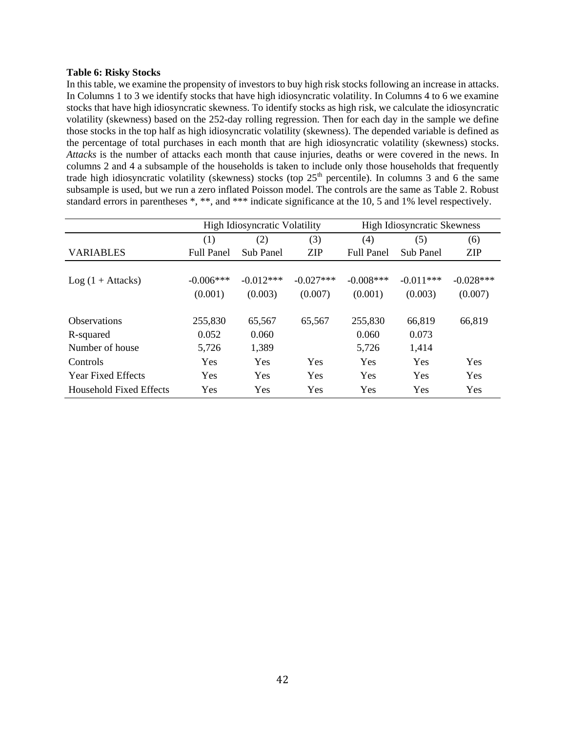## **Table 6: Risky Stocks**

In this table, we examine the propensity of investors to buy high risk stocks following an increase in attacks. In Columns 1 to 3 we identify stocks that have high idiosyncratic volatility. In Columns 4 to 6 we examine stocks that have high idiosyncratic skewness. To identify stocks as high risk, we calculate the idiosyncratic volatility (skewness) based on the 252-day rolling regression. Then for each day in the sample we define those stocks in the top half as high idiosyncratic volatility (skewness). The depended variable is defined as the percentage of total purchases in each month that are high idiosyncratic volatility (skewness) stocks. *Attacks* is the number of attacks each month that cause injuries, deaths or were covered in the news. In columns 2 and 4 a subsample of the households is taken to include only those households that frequently trade high idiosyncratic volatility (skewness) stocks (top  $25<sup>th</sup>$  percentile). In columns 3 and 6 the same subsample is used, but we run a zero inflated Poisson model. The controls are the same as Table 2. Robust standard errors in parentheses \*, \*\*, and \*\*\* indicate significance at the 10, 5 and 1% level respectively.

|                           | <b>High Idiosyncratic Volatility</b> |                  |             | <b>High Idiosyncratic Skewness</b> |                  |             |
|---------------------------|--------------------------------------|------------------|-------------|------------------------------------|------------------|-------------|
|                           | (1)                                  | (2)              | (3)         | (4)                                | (5)              | (6)         |
| <b>VARIABLES</b>          | <b>Full Panel</b>                    | <b>Sub Panel</b> | <b>ZIP</b>  | <b>Full Panel</b>                  | <b>Sub Panel</b> | <b>ZIP</b>  |
|                           |                                      |                  |             |                                    |                  |             |
| $Log(1 + Attacks)$        | $-0.006***$                          | $-0.012***$      | $-0.027***$ | $-0.008***$                        | $-0.011***$      | $-0.028***$ |
|                           | (0.001)                              | (0.003)          | (0.007)     | (0.001)                            | (0.003)          | (0.007)     |
|                           |                                      |                  |             |                                    |                  |             |
| <b>Observations</b>       | 255,830                              | 65,567           | 65,567      | 255,830                            | 66,819           | 66,819      |
| R-squared                 | 0.052                                | 0.060            |             | 0.060                              | 0.073            |             |
| Number of house           | 5,726                                | 1,389            |             | 5,726                              | 1,414            |             |
| Controls                  | Yes                                  | Yes              | Yes         | Yes                                | Yes              | <b>Yes</b>  |
| <b>Year Fixed Effects</b> | Yes                                  | Yes              | Yes         | Yes                                | Yes              | <b>Yes</b>  |
| Household Fixed Effects   | Yes                                  | <b>Yes</b>       | Yes         | Yes                                | Yes              | Yes         |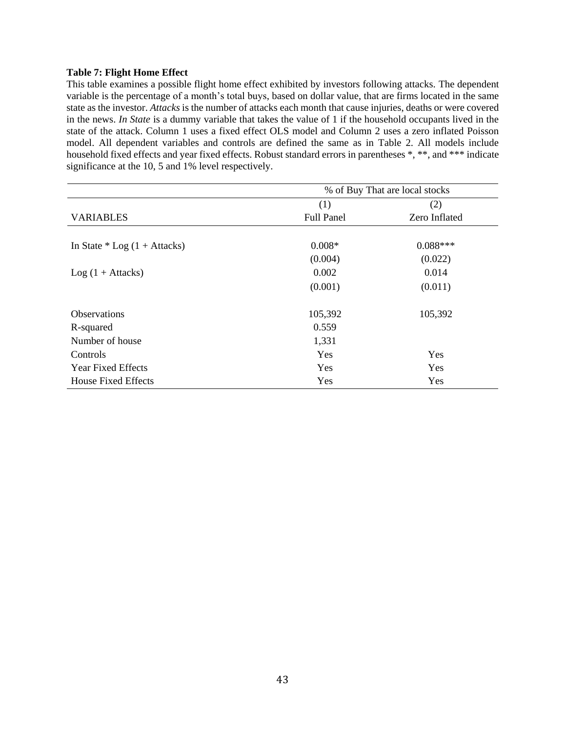## **Table 7: Flight Home Effect**

This table examines a possible flight home effect exhibited by investors following attacks. The dependent variable is the percentage of a month's total buys, based on dollar value, that are firms located in the same state as the investor. *Attacks* is the number of attacks each month that cause injuries, deaths or were covered in the news. *In State* is a dummy variable that takes the value of 1 if the household occupants lived in the state of the attack. Column 1 uses a fixed effect OLS model and Column 2 uses a zero inflated Poisson model. All dependent variables and controls are defined the same as in Table 2. All models include household fixed effects and year fixed effects. Robust standard errors in parentheses  $*, **$ , and  $***$  indicate significance at the 10, 5 and 1% level respectively.

|                                | % of Buy That are local stocks |               |  |  |  |
|--------------------------------|--------------------------------|---------------|--|--|--|
|                                | (1)                            | (2)           |  |  |  |
| <b>VARIABLES</b>               | <b>Full Panel</b>              | Zero Inflated |  |  |  |
|                                |                                |               |  |  |  |
| In State $*$ Log (1 + Attacks) | $0.008*$                       | $0.088***$    |  |  |  |
|                                | (0.004)                        | (0.022)       |  |  |  |
| $Log(1 + Attacks)$             | 0.002                          | 0.014         |  |  |  |
|                                | (0.001)                        | (0.011)       |  |  |  |
| <b>Observations</b>            | 105,392                        | 105,392       |  |  |  |
| R-squared                      | 0.559                          |               |  |  |  |
| Number of house                | 1,331                          |               |  |  |  |
| Controls                       | Yes                            | Yes           |  |  |  |
| <b>Year Fixed Effects</b>      | Yes                            | Yes           |  |  |  |
| <b>House Fixed Effects</b>     | Yes                            | Yes           |  |  |  |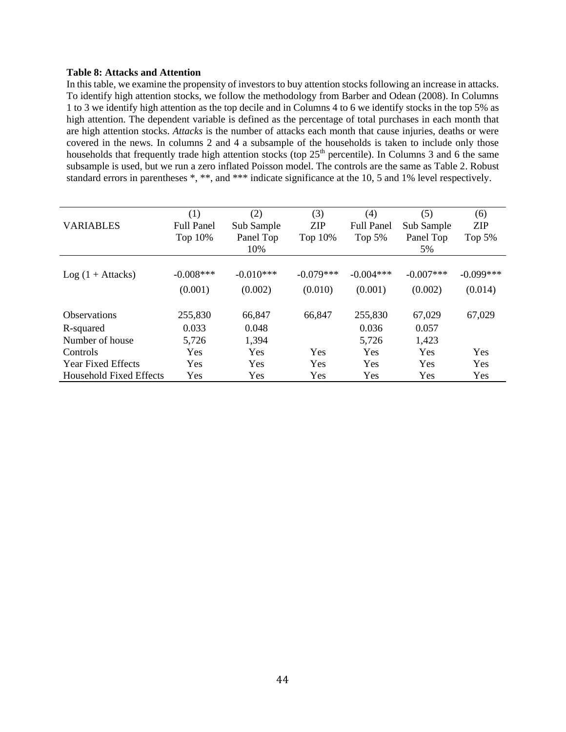## **Table 8: Attacks and Attention**

In this table, we examine the propensity of investors to buy attention stocks following an increase in attacks. To identify high attention stocks, we follow the methodology from Barber and Odean (2008). In Columns 1 to 3 we identify high attention as the top decile and in Columns 4 to 6 we identify stocks in the top 5% as high attention. The dependent variable is defined as the percentage of total purchases in each month that are high attention stocks. *Attacks* is the number of attacks each month that cause injuries, deaths or were covered in the news. In columns 2 and 4 a subsample of the households is taken to include only those households that frequently trade high attention stocks (top  $25<sup>th</sup>$  percentile). In Columns 3 and 6 the same subsample is used, but we run a zero inflated Poisson model. The controls are the same as Table 2. Robust standard errors in parentheses \*, \*\*, and \*\*\* indicate significance at the 10, 5 and 1% level respectively.

|                                | (1)               | (2)         | (3)         | (4)               | (5)         | (6)         |
|--------------------------------|-------------------|-------------|-------------|-------------------|-------------|-------------|
| <b>VARIABLES</b>               | <b>Full Panel</b> | Sub Sample  | <b>ZIP</b>  | <b>Full Panel</b> | Sub Sample  | <b>ZIP</b>  |
|                                | Top 10%           | Panel Top   | Top 10%     | Top $5%$          | Panel Top   | Top $5%$    |
|                                |                   | 10%         |             |                   | 5%          |             |
|                                |                   |             |             |                   |             |             |
| $Log(1 + Attacks)$             | $-0.008***$       | $-0.010***$ | $-0.079***$ | $-0.004***$       | $-0.007***$ | $-0.099***$ |
|                                | (0.001)           | (0.002)     | (0.010)     | (0.001)           | (0.002)     | (0.014)     |
| <b>Observations</b>            | 255,830           | 66,847      | 66,847      | 255,830           | 67,029      | 67,029      |
| R-squared                      | 0.033             | 0.048       |             | 0.036             | 0.057       |             |
| Number of house                | 5,726             | 1,394       |             | 5,726             | 1,423       |             |
| Controls                       | Yes               | <b>Yes</b>  | Yes         | <b>Yes</b>        | Yes         | <b>Yes</b>  |
| <b>Year Fixed Effects</b>      | Yes               | Yes         | Yes         | <b>Yes</b>        | Yes         | Yes         |
| <b>Household Fixed Effects</b> | Yes               | Yes         | Yes         | <b>Yes</b>        | Yes         | <b>Yes</b>  |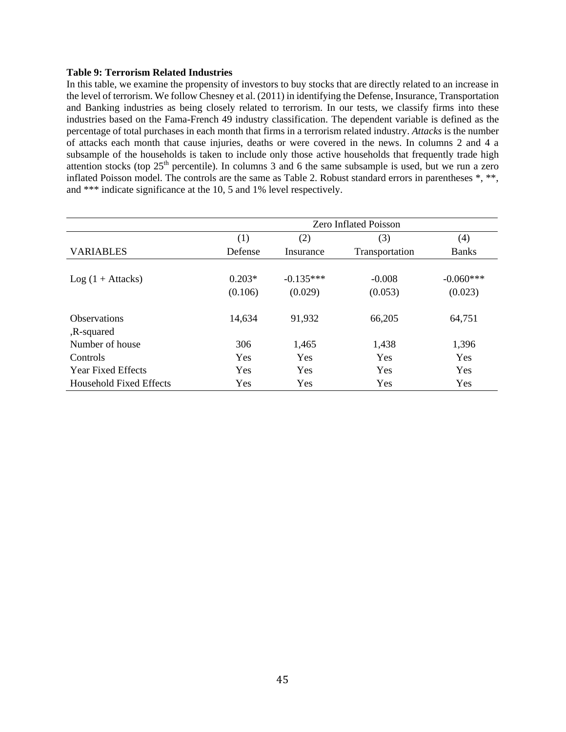## **Table 9: Terrorism Related Industries**

In this table, we examine the propensity of investors to buy stocks that are directly related to an increase in the level of terrorism. We follow Chesney et al. (2011) in identifying the Defense, Insurance, Transportation and Banking industries as being closely related to terrorism. In our tests, we classify firms into these industries based on the Fama-French 49 industry classification. The dependent variable is defined as the percentage of total purchases in each month that firms in a terrorism related industry. *Attacks* is the number of attacks each month that cause injuries, deaths or were covered in the news. In columns 2 and 4 a subsample of the households is taken to include only those active households that frequently trade high attention stocks (top  $25<sup>th</sup>$  percentile). In columns 3 and 6 the same subsample is used, but we run a zero inflated Poisson model. The controls are the same as Table 2. Robust standard errors in parentheses \*, \*\*, and \*\*\* indicate significance at the 10, 5 and 1% level respectively.

|                           | <b>Zero Inflated Poisson</b> |             |                |              |  |  |
|---------------------------|------------------------------|-------------|----------------|--------------|--|--|
|                           | (1)                          | (2)         | (3)            | (4)          |  |  |
| <b>VARIABLES</b>          | Defense                      | Insurance   | Transportation | <b>Banks</b> |  |  |
|                           |                              |             |                |              |  |  |
| $Log(1 + Attacks)$        | $0.203*$                     | $-0.135***$ | $-0.008$       | $-0.060***$  |  |  |
|                           | (0.106)                      | (0.029)     | (0.053)        | (0.023)      |  |  |
|                           |                              |             |                |              |  |  |
| <b>Observations</b>       | 14,634                       | 91,932      | 66,205         | 64,751       |  |  |
| ,R-squared                |                              |             |                |              |  |  |
| Number of house           | 306                          | 1,465       | 1,438          | 1,396        |  |  |
| Controls                  | Yes                          | Yes         | Yes            | Yes          |  |  |
| <b>Year Fixed Effects</b> | Yes                          | Yes         | Yes            | <b>Yes</b>   |  |  |
| Household Fixed Effects   | Yes                          | Yes         | Yes            | Yes          |  |  |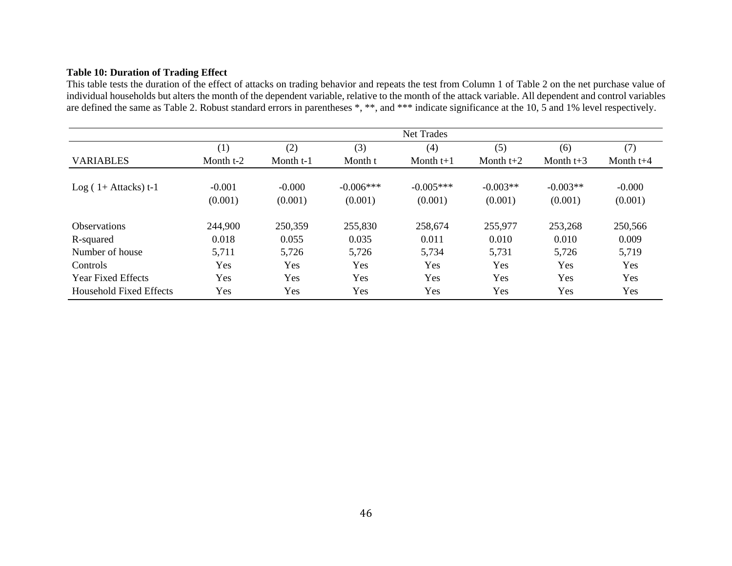## **Table 10: Duration of Trading Effect**

This table tests the duration of the effect of attacks on trading behavior and repeats the test from Column 1 of Table 2 on the net purchase value of individual households but alters the month of the dependent variable, relative to the month of the attack variable. All dependent and control variables are defined the same as Table 2. Robust standard errors in parentheses \*, \*\*, and \*\*\* indicate significance at the 10, 5 and 1% level respectively.

|                           | <b>Net Trades</b>   |                     |                        |                        |                       |                       |                     |  |
|---------------------------|---------------------|---------------------|------------------------|------------------------|-----------------------|-----------------------|---------------------|--|
|                           | (1)                 | (2)                 | (3)                    | (4)                    | (5)                   | (6)                   | (7)                 |  |
| <b>VARIABLES</b>          | Month t-2           | Month t-1           | Month t                | Month $t+1$            | Month $t+2$           | Month $t+3$           | Month $t+4$         |  |
| $Log(1 + Attacks) t-1$    | $-0.001$<br>(0.001) | $-0.000$<br>(0.001) | $-0.006***$<br>(0.001) | $-0.005***$<br>(0.001) | $-0.003**$<br>(0.001) | $-0.003**$<br>(0.001) | $-0.000$<br>(0.001) |  |
| <b>Observations</b>       | 244,900             | 250,359             | 255,830                | 258,674                | 255,977               | 253,268               | 250,566             |  |
| R-squared                 | 0.018               | 0.055               | 0.035                  | 0.011                  | 0.010                 | 0.010                 | 0.009               |  |
| Number of house           | 5,711               | 5,726               | 5,726                  | 5,734                  | 5,731                 | 5,726                 | 5,719               |  |
| Controls                  | <b>Yes</b>          | <b>Yes</b>          | <b>Yes</b>             | Yes                    | Yes                   | <b>Yes</b>            | Yes                 |  |
| <b>Year Fixed Effects</b> | Yes                 | Yes                 | Yes                    | Yes                    | Yes                   | Yes                   | Yes                 |  |
| Household Fixed Effects   | Yes                 | Yes                 | Yes                    | Yes                    | Yes                   | Yes                   | Yes                 |  |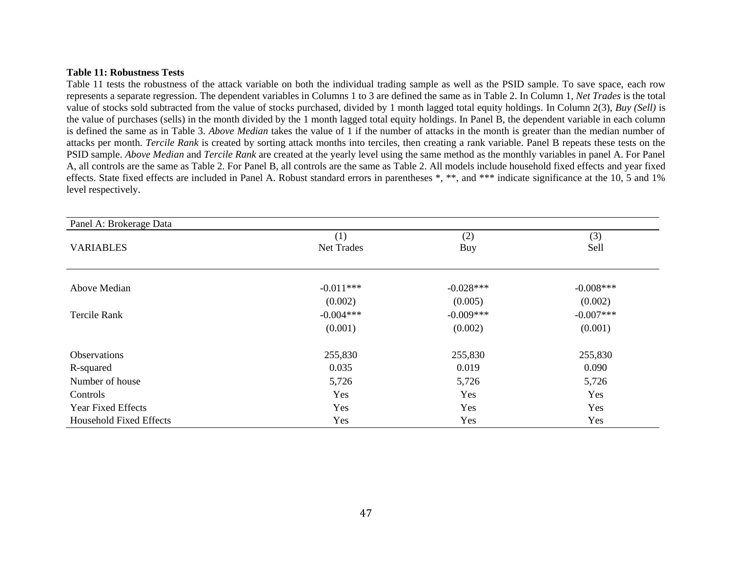#### **Table 11: Robustness Tests**

Table 11 tests the robustness of the attack variable on both the individual trading sample as well as the PSID sample. To save space, each row represents a separate regression. The dependent variables in Columns 1 to 3 are defined the same as in Table 2. In Column 1, *Net Trades* is the total value of stocks sold subtracted from the value of stocks purchased, divided by 1 month lagged total equity holdings*.* In Column 2(3), *Buy (Sell)* is the value of purchases (sells) in the month divided by the 1 month lagged total equity holdings. In Panel B, the dependent variable in each column is defined the same as in Table 3. *Above Median* takes the value of 1 if the number of attacks in the month is greater than the median number of attacks per month. *Tercile Rank* is created by sorting attack months into terciles, then creating a rank variable. Panel B repeats these tests on the PSID sample. *Above Median* and *Tercile Rank* are created at the yearly level using the same method as the monthly variables in panel A. For Panel A, all controls are the same as Table 2. For Panel B, all controls are the same as Table 2. All models include household fixed effects and year fixed effects. State fixed effects are included in Panel A. Robust standard errors in parentheses \*, \*\*, and \*\*\* indicate significance at the 10, 5 and 1% level respectively.

| Panel A: Brokerage Data        |             |             |             |
|--------------------------------|-------------|-------------|-------------|
|                                | (1)         | (2)         | (3)         |
| <b>VARIABLES</b>               | Net Trades  | Buy         | Sell        |
|                                |             |             |             |
| Above Median                   | $-0.011***$ | $-0.028***$ | $-0.008***$ |
|                                | (0.002)     | (0.005)     | (0.002)     |
| <b>Tercile Rank</b>            | $-0.004***$ | $-0.009***$ | $-0.007***$ |
|                                | (0.001)     | (0.002)     | (0.001)     |
| Observations                   | 255,830     | 255,830     | 255,830     |
| R-squared                      | 0.035       | 0.019       | 0.090       |
| Number of house                | 5,726       | 5,726       | 5,726       |
| Controls                       | Yes         | Yes         | Yes         |
| Year Fixed Effects             | Yes         | Yes         | Yes         |
| <b>Household Fixed Effects</b> | Yes         | Yes         | Yes         |